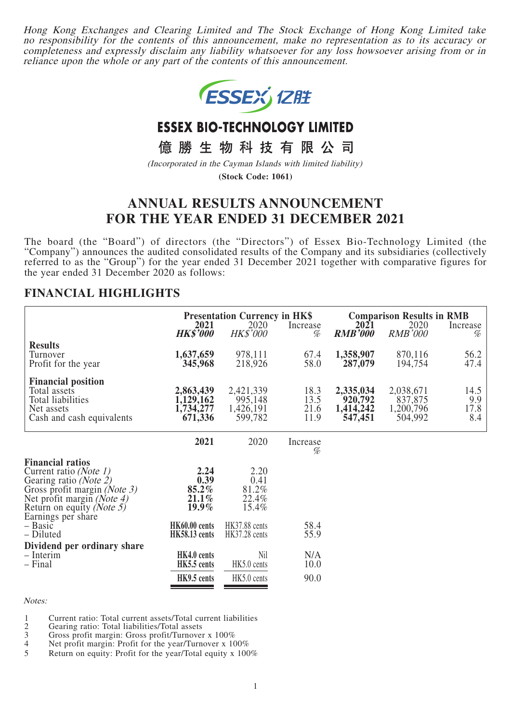Hong Kong Exchanges and Clearing Limited and The Stock Exchange of Hong Kong Limited take no responsibility for the contents of this announcement, make no representation as to its accuracy or completeness and expressly disclaim any liability whatsoever for any loss howsoever arising from or in reliance upon the whole or any part of the contents of this announcement.



# **ESSEX BIO-TECHNOLOGY LIMITED**

億勝生物科技有限公司

(Incorporated in the Cayman Islands with limited liability)

**(Stock Code: 1061)**

# **ANNUAL RESULTS ANNOUNCEMENT FOR THE YEAR ENDED 31 DECEMBER 2021**

The board (the "Board") of directors (the "Directors") of Essex Bio-Technology Limited (the "Company") announces the audited consolidated results of the Company and its subsidiaries (collectively referred to as the "Group") for the year ended 31 December 2021 together with comparative figures for the year ended 31 December 2020 as follows:

### **FINANCIAL HIGHLIGHTS**

|                                                                                                                                                                        | <b>Presentation Currency in HK\$</b>           |                                              | <b>Comparison Results in RMB</b> |                                              |                                              |                            |
|------------------------------------------------------------------------------------------------------------------------------------------------------------------------|------------------------------------------------|----------------------------------------------|----------------------------------|----------------------------------------------|----------------------------------------------|----------------------------|
|                                                                                                                                                                        | 2021<br><b>HK\$'000</b>                        | 2020<br><b>HK\$'000</b>                      | Increase<br>%                    | <b>2021</b><br><b>RMB'000</b>                | 2020<br><b>RMB'000</b>                       | Increase<br>%              |
| <b>Results</b><br>Turnover<br>Profit for the year                                                                                                                      | 1,637,659<br>345,968                           | 978,111<br>218,926                           | 67.4<br>58.0                     | 1,358,907<br>287,079                         | 870,116<br>194,754                           | 56.2<br>47.4               |
| <b>Financial position</b><br>Total assets<br>Total liabilities<br>Net assets<br>Cash and cash equivalents                                                              | 2,863,439<br>1,129,162<br>1,734,277<br>671,336 | 2,421,339<br>995,148<br>1,426,191<br>599,782 | 18.3<br>13.5<br>21.6<br>11.9     | 2,335,034<br>920,792<br>1,414,242<br>547,451 | 2,038,671<br>837,875<br>1,200,796<br>504,992 | 14.5<br>9.9<br>17.8<br>8.4 |
|                                                                                                                                                                        | 2021                                           | 2020                                         | Increase<br>%                    |                                              |                                              |                            |
| <b>Financial ratios</b><br>Current ratio (Note 1)<br>Gearing ratio (Note 2)<br>Gross profit margin (Note 3)<br>Net profit margin (Note 4)<br>Return on equity (Note 5) | 2.24<br>0.39<br>85.2%<br>21.1%<br>$19.9\%$     | 2.20<br>0.41<br>81.2%<br>22.4%<br>15.4%      |                                  |                                              |                                              |                            |
| Earnings per share<br>– Basic<br>– Diluted                                                                                                                             | HK60.00 cents<br><b>HK58.13</b> cents          | <b>HK37.88</b> cents<br>HK37.28 cents        | 58.4<br>55.9                     |                                              |                                              |                            |
| Dividend per ordinary share<br>- Interim<br>– Final                                                                                                                    | HK4.0 cents<br>HK5.5 cents                     | Nil<br>HK5.0 cents                           | N/A<br>10.0                      |                                              |                                              |                            |
|                                                                                                                                                                        | HK9.5 cents                                    | HK5.0 cents                                  | 90.0                             |                                              |                                              |                            |

Notes:

1 Current ratio: Total current assets/Total current liabilities

2 Gearing ratio: Total liabilities/Total assets

3 Gross profit margin: Gross profit/Turnover x 100%

4 Net profit margin: Profit for the year/Turnover x  $100\%$ <br>5 Return on equity: Profit for the year/Total equity x 100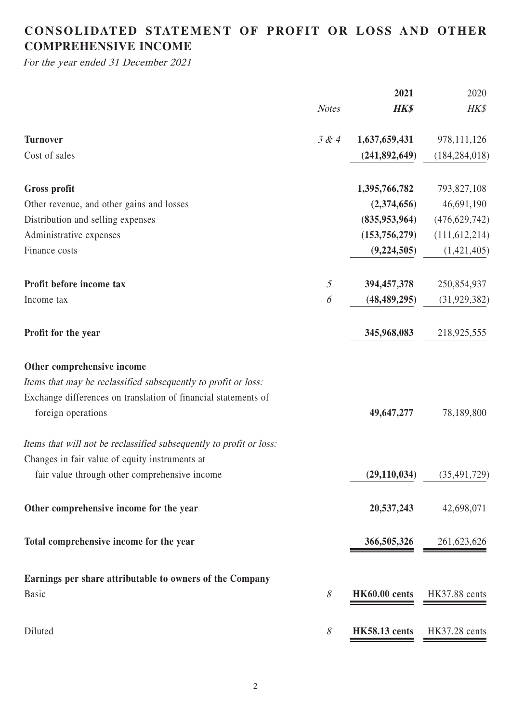# **CONSOLIDATED STATEMENT OF PROFIT OR LOSS AND OTHER COMPREHENSIVE INCOME**

For the year ended 31 December 2021

|                                                                     |                   | 2021                 | 2020            |
|---------------------------------------------------------------------|-------------------|----------------------|-----------------|
|                                                                     | <b>Notes</b>      | <b>HK\$</b>          | HK\$            |
| <b>Turnover</b>                                                     | 3 & 4             | 1,637,659,431        | 978, 111, 126   |
| Cost of sales                                                       |                   | (241, 892, 649)      | (184, 284, 018) |
| <b>Gross profit</b>                                                 |                   | 1,395,766,782        | 793,827,108     |
| Other revenue, and other gains and losses                           |                   | (2,374,656)          | 46,691,190      |
| Distribution and selling expenses                                   |                   | (835, 953, 964)      | (476, 629, 742) |
| Administrative expenses                                             |                   | (153, 756, 279)      | (111, 612, 214) |
| Finance costs                                                       |                   | (9, 224, 505)        | (1,421,405)     |
| Profit before income tax                                            | $\mathfrak{H}$    | 394,457,378          | 250,854,937     |
| Income tax                                                          | 6                 | (48, 489, 295)       | (31, 929, 382)  |
| Profit for the year                                                 |                   | 345,968,083          | 218,925,555     |
| Other comprehensive income                                          |                   |                      |                 |
| Items that may be reclassified subsequently to profit or loss:      |                   |                      |                 |
| Exchange differences on translation of financial statements of      |                   |                      |                 |
| foreign operations                                                  |                   | 49,647,277           | 78,189,800      |
| Items that will not be reclassified subsequently to profit or loss: |                   |                      |                 |
| Changes in fair value of equity instruments at                      |                   |                      |                 |
| fair value through other comprehensive income                       |                   | (29, 110, 034)       | (35, 491, 729)  |
| Other comprehensive income for the year                             |                   | 20,537,243           | 42,698,071      |
| Total comprehensive income for the year                             |                   | 366,505,326          | 261,623,626     |
| Earnings per share attributable to owners of the Company            |                   |                      |                 |
| <b>Basic</b>                                                        | $\mathcal{S}_{0}$ | HK60.00 cents        | HK37.88 cents   |
| Diluted                                                             | 8                 | <b>HK58.13</b> cents | HK37.28 cents   |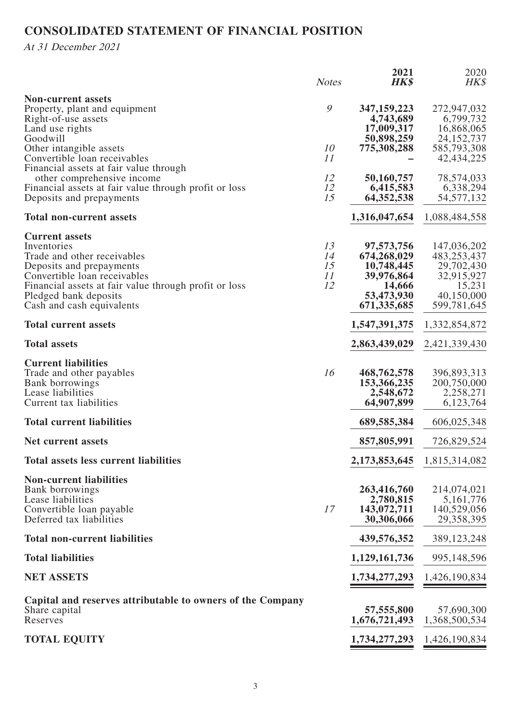# **CONSOLIDATED STATEMENT OF FINANCIAL POSITION**

At 31 December 2021

|                                                                                                                                                                                                                                                | <b>Notes</b>               | 2021<br><b>HK\$</b>                                                                            | 2020<br>HK\$                                                                                  |
|------------------------------------------------------------------------------------------------------------------------------------------------------------------------------------------------------------------------------------------------|----------------------------|------------------------------------------------------------------------------------------------|-----------------------------------------------------------------------------------------------|
| <b>Non-current assets</b><br>Property, plant and equipment<br>Right-of-use assets<br>Land use rights<br>Goodwill<br>Other intangible assets<br>Convertible loan receivables                                                                    | 9<br>10<br>11              | 347, 159, 223<br>4,743,689<br>17,009,317<br>50,898,259<br>775,308,288                          | 272,947,032<br>6,799,732<br>16,868,065<br>24, 152, 737<br>585,793,308<br>42, 434, 225         |
| Financial assets at fair value through<br>other comprehensive income<br>Financial assets at fair value through profit or loss<br>Deposits and prepayments                                                                                      | 12<br>12<br>15             | 50,160,757<br>6,415,583<br>64, 352, 538                                                        | 78,574,033<br>6,338,294<br>54, 577, 132                                                       |
| <b>Total non-current assets</b>                                                                                                                                                                                                                |                            | 1,316,047,654                                                                                  | 1,088,484,558                                                                                 |
| <b>Current assets</b><br>Inventories<br>Trade and other receivables<br>Deposits and prepayments<br>Convertible loan receivables<br>Financial assets at fair value through profit or loss<br>Pledged bank deposits<br>Cash and cash equivalents | 13<br>14<br>15<br>11<br>12 | 97,573,756<br>674,268,029<br>10,748,445<br>39,976,864<br>14,666<br>53,473,930<br>671, 335, 685 | 147,036,202<br>483,253,437<br>29,702,430<br>32,915,927<br>15,231<br>40,150,000<br>599,781,645 |
| <b>Total current assets</b>                                                                                                                                                                                                                    |                            | 1,547,391,375                                                                                  | 1,332,854,872                                                                                 |
| <b>Total assets</b>                                                                                                                                                                                                                            |                            | 2,863,439,029                                                                                  | 2,421,339,430                                                                                 |
| <b>Current liabilities</b><br>Trade and other payables<br>Bank borrowings<br>Lease liabilities<br>Current tax liabilities                                                                                                                      | 16                         | 468,762,578<br>153,366,235<br>2,548,672<br>64,907,899                                          | 396,893,313<br>200,750,000<br>2,258,271<br>6,123,764                                          |
| <b>Total current liabilities</b>                                                                                                                                                                                                               |                            | 689,585,384                                                                                    | 606,025,348                                                                                   |
| Net current assets                                                                                                                                                                                                                             |                            | 857,805,991                                                                                    | 726,829,524                                                                                   |
| <b>Total assets less current liabilities</b>                                                                                                                                                                                                   |                            | 2,173,853,645                                                                                  | 1,815,314,082                                                                                 |
| <b>Non-current liabilities</b><br>Bank borrowings<br>Lease liabilities<br>Convertible loan payable<br>Deferred tax liabilities                                                                                                                 | 17                         | 263,416,760<br>2,780,815<br>143,072,711<br>30,306,066                                          | 214,074,021<br>5, 161, 776<br>140,529,056<br>29,358,395                                       |
| <b>Total non-current liabilities</b>                                                                                                                                                                                                           |                            | 439,576,352                                                                                    | 389,123,248                                                                                   |
| <b>Total liabilities</b>                                                                                                                                                                                                                       |                            | 1,129,161,736                                                                                  | 995,148,596                                                                                   |
| <b>NET ASSETS</b>                                                                                                                                                                                                                              |                            | 1,734,277,293                                                                                  | 1,426,190,834                                                                                 |
| Capital and reserves attributable to owners of the Company<br>Share capital<br>Reserves                                                                                                                                                        |                            | 57,555,800<br>1,676,721,493                                                                    | 57,690,300<br>1,368,500,534                                                                   |
| <b>TOTAL EQUITY</b>                                                                                                                                                                                                                            |                            | 1,734,277,293                                                                                  | 1,426,190,834                                                                                 |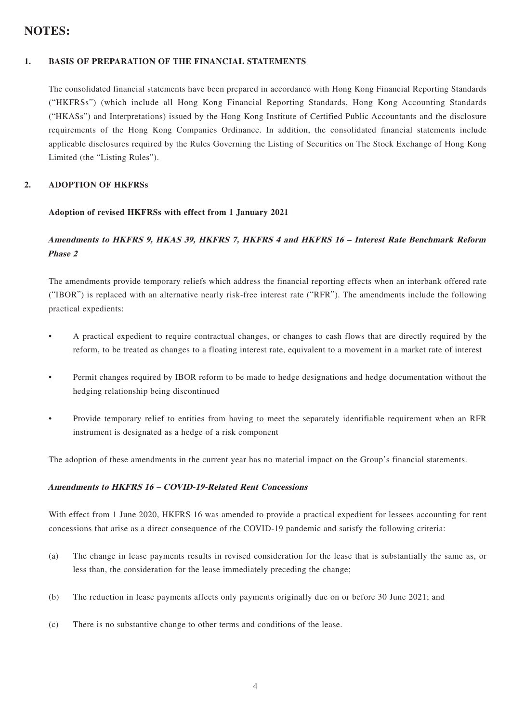### **NOTES:**

### **1. BASIS OF PREPARATION OF THE FINANCIAL STATEMENTS**

The consolidated financial statements have been prepared in accordance with Hong Kong Financial Reporting Standards ("HKFRSs") (which include all Hong Kong Financial Reporting Standards, Hong Kong Accounting Standards ("HKASs") and Interpretations) issued by the Hong Kong Institute of Certified Public Accountants and the disclosure requirements of the Hong Kong Companies Ordinance. In addition, the consolidated financial statements include applicable disclosures required by the Rules Governing the Listing of Securities on The Stock Exchange of Hong Kong Limited (the "Listing Rules").

#### **2. ADOPTION OF HKFRSs**

#### **Adoption of revised HKFRSs with effect from 1 January 2021**

### **Amendments to HKFRS 9, HKAS 39, HKFRS 7, HKFRS 4 and HKFRS 16 – Interest Rate Benchmark Reform Phase 2**

The amendments provide temporary reliefs which address the financial reporting effects when an interbank offered rate ("IBOR") is replaced with an alternative nearly risk-free interest rate ("RFR"). The amendments include the following practical expedients:

- A practical expedient to require contractual changes, or changes to cash flows that are directly required by the reform, to be treated as changes to a floating interest rate, equivalent to a movement in a market rate of interest
- Permit changes required by IBOR reform to be made to hedge designations and hedge documentation without the hedging relationship being discontinued
- Provide temporary relief to entities from having to meet the separately identifiable requirement when an RFR instrument is designated as a hedge of a risk component

The adoption of these amendments in the current year has no material impact on the Group's financial statements.

#### **Amendments to HKFRS 16 – COVID-19-Related Rent Concessions**

With effect from 1 June 2020, HKFRS 16 was amended to provide a practical expedient for lessees accounting for rent concessions that arise as a direct consequence of the COVID-19 pandemic and satisfy the following criteria:

- (a) The change in lease payments results in revised consideration for the lease that is substantially the same as, or less than, the consideration for the lease immediately preceding the change;
- (b) The reduction in lease payments affects only payments originally due on or before 30 June 2021; and
- (c) There is no substantive change to other terms and conditions of the lease.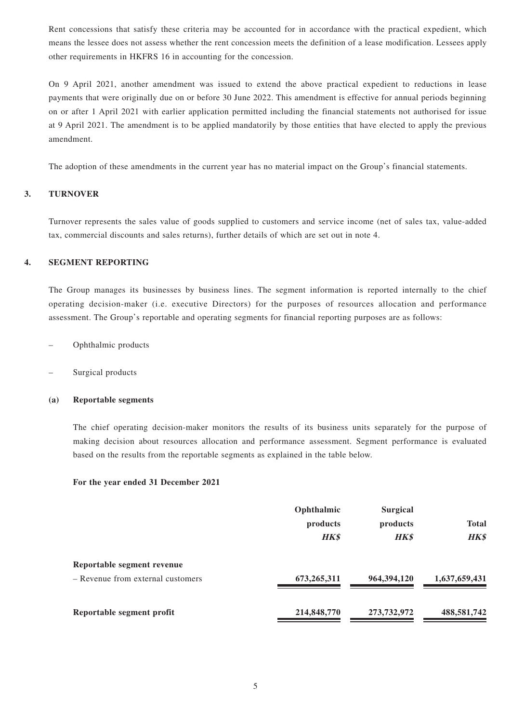Rent concessions that satisfy these criteria may be accounted for in accordance with the practical expedient, which means the lessee does not assess whether the rent concession meets the definition of a lease modification. Lessees apply other requirements in HKFRS 16 in accounting for the concession.

On 9 April 2021, another amendment was issued to extend the above practical expedient to reductions in lease payments that were originally due on or before 30 June 2022. This amendment is effective for annual periods beginning on or after 1 April 2021 with earlier application permitted including the financial statements not authorised for issue at 9 April 2021. The amendment is to be applied mandatorily by those entities that have elected to apply the previous amendment.

The adoption of these amendments in the current year has no material impact on the Group's financial statements.

#### **3. TURNOVER**

Turnover represents the sales value of goods supplied to customers and service income (net of sales tax, value-added tax, commercial discounts and sales returns), further details of which are set out in note 4.

#### **4. SEGMENT REPORTING**

The Group manages its businesses by business lines. The segment information is reported internally to the chief operating decision-maker (i.e. executive Directors) for the purposes of resources allocation and performance assessment. The Group's reportable and operating segments for financial reporting purposes are as follows:

- Ophthalmic products
- Surgical products

#### **(a) Reportable segments**

The chief operating decision-maker monitors the results of its business units separately for the purpose of making decision about resources allocation and performance assessment. Segment performance is evaluated based on the results from the reportable segments as explained in the table below.

#### **For the year ended 31 December 2021**

|                                                                 | Ophthalmic<br>products<br><b>HK\$</b> | <b>Surgical</b><br>products<br><b>HK\$</b> | <b>Total</b><br><b>HK\$</b> |  |
|-----------------------------------------------------------------|---------------------------------------|--------------------------------------------|-----------------------------|--|
| Reportable segment revenue<br>- Revenue from external customers | 673,265,311                           | 964, 394, 120                              | 1,637,659,431               |  |
| Reportable segment profit                                       | 214,848,770                           | 273,732,972                                | 488,581,742                 |  |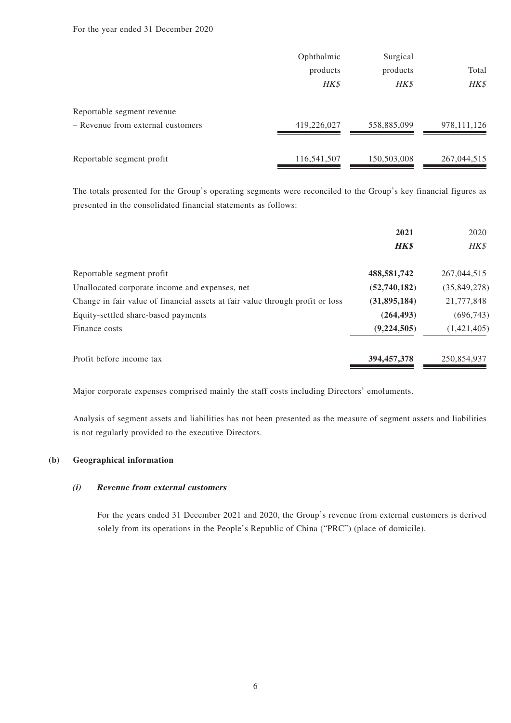#### For the year ended 31 December 2020

|                                   | Ophthalmic  |             |               |  |
|-----------------------------------|-------------|-------------|---------------|--|
|                                   | products    | products    | Total         |  |
|                                   | HK\$        | HK\$        | HK\$          |  |
| Reportable segment revenue        |             |             |               |  |
| - Revenue from external customers | 419,226,027 | 558,885,099 | 978, 111, 126 |  |
|                                   |             |             |               |  |
| Reportable segment profit         | 116,541,507 | 150,503,008 | 267,044,515   |  |

The totals presented for the Group's operating segments were reconciled to the Group's key financial figures as presented in the consolidated financial statements as follows:

|                                                                               | 2021          | 2020         |
|-------------------------------------------------------------------------------|---------------|--------------|
|                                                                               | <b>HK\$</b>   | HK\$         |
| Reportable segment profit                                                     | 488,581,742   | 267,044,515  |
| Unallocated corporate income and expenses, net                                | (52,740,182)  | (35,849,278) |
| Change in fair value of financial assets at fair value through profit or loss | (31,895,184)  | 21,777,848   |
| Equity-settled share-based payments                                           | (264, 493)    | (696, 743)   |
| Finance costs                                                                 | (9, 224, 505) | (1,421,405)  |
| Profit before income tax                                                      | 394,457,378   | 250,854,937  |

Major corporate expenses comprised mainly the staff costs including Directors' emoluments.

Analysis of segment assets and liabilities has not been presented as the measure of segment assets and liabilities is not regularly provided to the executive Directors.

#### **(b) Geographical information**

#### **(i) Revenue from external customers**

For the years ended 31 December 2021 and 2020, the Group's revenue from external customers is derived solely from its operations in the People's Republic of China ("PRC") (place of domicile).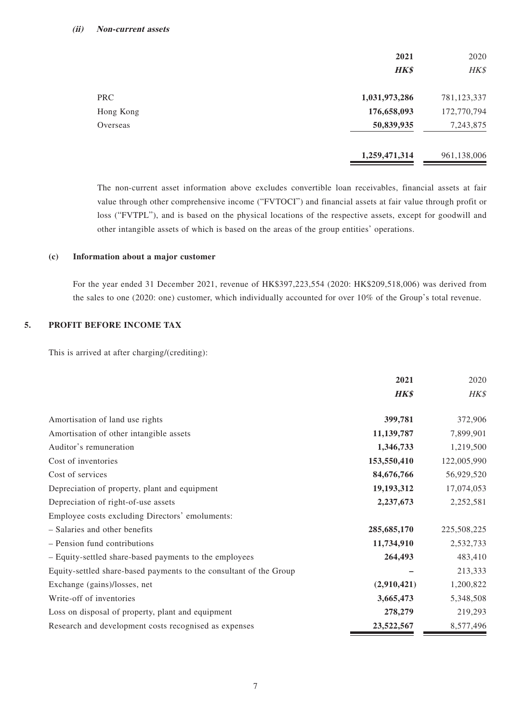|            | 2021<br>HK\$  | 2020<br>HK\$ |
|------------|---------------|--------------|
| <b>PRC</b> | 1,031,973,286 | 781,123,337  |
| Hong Kong  | 176,658,093   | 172,770,794  |
| Overseas   | 50,839,935    | 7,243,875    |
|            | 1,259,471,314 | 961,138,006  |

The non-current asset information above excludes convertible loan receivables, financial assets at fair value through other comprehensive income ("FVTOCI") and financial assets at fair value through profit or loss ("FVTPL"), and is based on the physical locations of the respective assets, except for goodwill and other intangible assets of which is based on the areas of the group entities' operations.

#### **(c) Information about a major customer**

For the year ended 31 December 2021, revenue of HK\$397,223,554 (2020: HK\$209,518,006) was derived from the sales to one (2020: one) customer, which individually accounted for over 10% of the Group's total revenue.

### **5. PROFIT BEFORE INCOME TAX**

This is arrived at after charging/(crediting):

|                                                                    | 2021        | 2020        |
|--------------------------------------------------------------------|-------------|-------------|
|                                                                    | HK\$        | HK\$        |
| Amortisation of land use rights                                    | 399,781     | 372,906     |
| Amortisation of other intangible assets                            | 11,139,787  | 7,899,901   |
| Auditor's remuneration                                             | 1,346,733   | 1,219,500   |
| Cost of inventories                                                | 153,550,410 | 122,005,990 |
| Cost of services                                                   | 84,676,766  | 56,929,520  |
| Depreciation of property, plant and equipment                      | 19,193,312  | 17,074,053  |
| Depreciation of right-of-use assets                                | 2,237,673   | 2,252,581   |
| Employee costs excluding Directors' emoluments:                    |             |             |
| - Salaries and other benefits                                      | 285,685,170 | 225,508,225 |
| - Pension fund contributions                                       | 11,734,910  | 2,532,733   |
| - Equity-settled share-based payments to the employees             | 264,493     | 483,410     |
| Equity-settled share-based payments to the consultant of the Group |             | 213,333     |
| Exchange (gains)/losses, net                                       | (2,910,421) | 1,200,822   |
| Write-off of inventories                                           | 3,665,473   | 5,348,508   |
| Loss on disposal of property, plant and equipment                  | 278,279     | 219,293     |
| Research and development costs recognised as expenses              | 23,522,567  | 8,577,496   |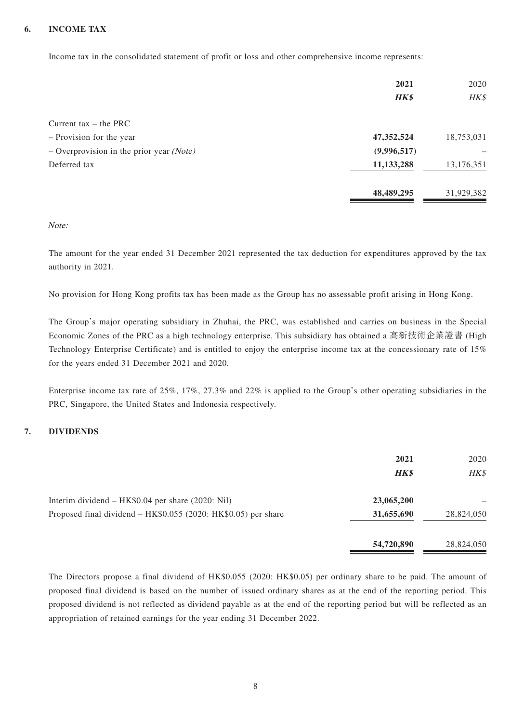### **6. INCOME TAX**

Income tax in the consolidated statement of profit or loss and other comprehensive income represents:

|                                            | 2021         | 2020       |
|--------------------------------------------|--------------|------------|
|                                            | HK\$         | HK\$       |
| Current tax $-$ the PRC                    |              |            |
| - Provision for the year                   | 47, 352, 524 | 18,753,031 |
| $-$ Overprovision in the prior year (Note) | (9,996,517)  |            |
| Deferred tax                               | 11,133,288   | 13,176,351 |
|                                            | 48,489,295   | 31,929,382 |

Note:

The amount for the year ended 31 December 2021 represented the tax deduction for expenditures approved by the tax authority in 2021.

No provision for Hong Kong profits tax has been made as the Group has no assessable profit arising in Hong Kong.

The Group's major operating subsidiary in Zhuhai, the PRC, was established and carries on business in the Special Economic Zones of the PRC as a high technology enterprise. This subsidiary has obtained a 高新技術企業證書 (High Technology Enterprise Certificate) and is entitled to enjoy the enterprise income tax at the concessionary rate of 15% for the years ended 31 December 2021 and 2020.

Enterprise income tax rate of 25%, 17%, 27.3% and 22% is applied to the Group's other operating subsidiaries in the PRC, Singapore, the United States and Indonesia respectively.

### **7. DIVIDENDS**

|                                                                | 2021<br><b>HK\$</b> | 2020<br>HK\$ |
|----------------------------------------------------------------|---------------------|--------------|
| Interim dividend – HK\$0.04 per share (2020: Nil)              | 23,065,200          |              |
| Proposed final dividend - HK\$0.055 (2020: HK\$0.05) per share | 31,655,690          | 28,824,050   |
|                                                                | 54,720,890          | 28,824,050   |

The Directors propose a final dividend of HK\$0.055 (2020: HK\$0.05) per ordinary share to be paid. The amount of proposed final dividend is based on the number of issued ordinary shares as at the end of the reporting period. This proposed dividend is not reflected as dividend payable as at the end of the reporting period but will be reflected as an appropriation of retained earnings for the year ending 31 December 2022.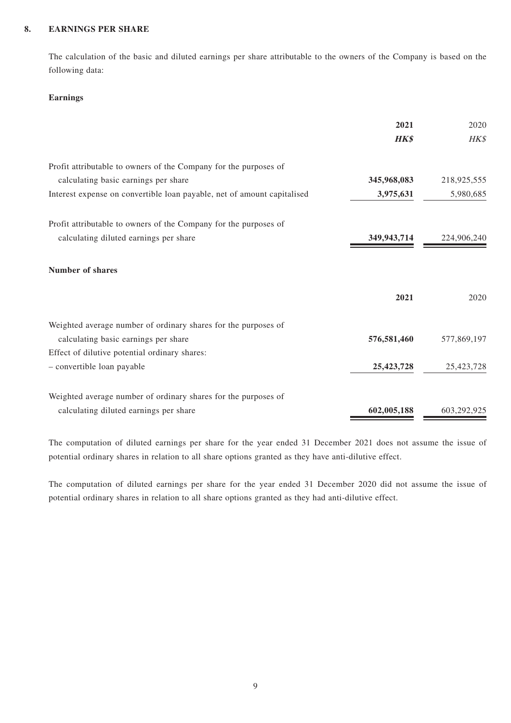#### **8. EARNINGS PER SHARE**

The calculation of the basic and diluted earnings per share attributable to the owners of the Company is based on the following data:

#### **Earnings**

|                                                                         | 2021        | 2020        |
|-------------------------------------------------------------------------|-------------|-------------|
|                                                                         | <b>HK\$</b> | HK\$        |
| Profit attributable to owners of the Company for the purposes of        |             |             |
| calculating basic earnings per share                                    | 345,968,083 | 218,925,555 |
| Interest expense on convertible loan payable, net of amount capitalised | 3,975,631   | 5,980,685   |
| Profit attributable to owners of the Company for the purposes of        |             |             |
| calculating diluted earnings per share                                  | 349,943,714 | 224,906,240 |
| <b>Number of shares</b>                                                 |             |             |
|                                                                         | 2021        | 2020        |
| Weighted average number of ordinary shares for the purposes of          |             |             |
| calculating basic earnings per share                                    | 576,581,460 | 577,869,197 |
| Effect of dilutive potential ordinary shares:                           |             |             |
| - convertible loan payable                                              | 25,423,728  | 25,423,728  |
| Weighted average number of ordinary shares for the purposes of          |             |             |
| calculating diluted earnings per share                                  | 602,005,188 | 603,292,925 |

The computation of diluted earnings per share for the year ended 31 December 2021 does not assume the issue of potential ordinary shares in relation to all share options granted as they have anti-dilutive effect.

The computation of diluted earnings per share for the year ended 31 December 2020 did not assume the issue of potential ordinary shares in relation to all share options granted as they had anti-dilutive effect.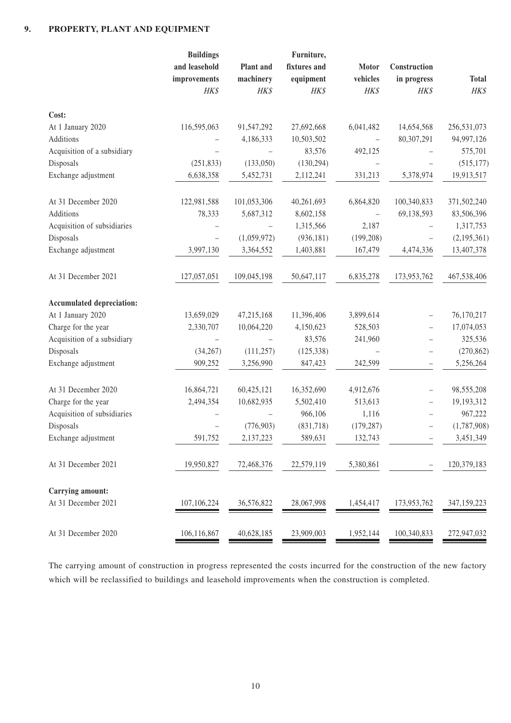### **9. PROPERTY, PLANT AND EQUIPMENT**

|                                  | <b>Buildings</b><br>and leasehold<br>improvements | Plant and<br>machinery | Furniture,<br>fixtures and<br>equipment | Motor<br>vehicles | Construction<br>in progress | <b>Total</b> |
|----------------------------------|---------------------------------------------------|------------------------|-----------------------------------------|-------------------|-----------------------------|--------------|
|                                  | HK\$                                              | <b>HK\$</b>            | HK\$                                    | HK\$              | HK\$                        | HK\$         |
| Cost:                            |                                                   |                        |                                         |                   |                             |              |
| At 1 January 2020                | 116,595,063                                       | 91,547,292             | 27,692,668                              | 6,041,482         | 14,654,568                  | 256,531,073  |
| Additions                        |                                                   | 4,186,333              | 10,503,502                              |                   | 80,307,291                  | 94,997,126   |
| Acquisition of a subsidiary      |                                                   |                        | 83,576                                  | 492,125           |                             | 575,701      |
| Disposals                        | (251, 833)                                        | (133,050)              | (130, 294)                              |                   |                             | (515, 177)   |
| Exchange adjustment              | 6,638,358                                         | 5,452,731              | 2,112,241                               | 331,213           | 5,378,974                   | 19,913,517   |
| At 31 December 2020              | 122,981,588                                       | 101,053,306            | 40,261,693                              | 6,864,820         | 100,340,833                 | 371,502,240  |
| Additions                        | 78,333                                            | 5,687,312              | 8,602,158                               |                   | 69,138,593                  | 83,506,396   |
| Acquisition of subsidiaries      |                                                   |                        | 1,315,566                               | 2,187             |                             | 1,317,753    |
| Disposals                        |                                                   | (1,059,972)            | (936, 181)                              | (199, 208)        |                             | (2,195,361)  |
| Exchange adjustment              | 3,997,130                                         | 3,364,552              | 1,403,881                               | 167,479           | 4,474,336                   | 13,407,378   |
| At 31 December 2021              | 127,057,051                                       | 109,045,198            | 50,647,117                              | 6,835,278         | 173,953,762                 | 467,538,406  |
| <b>Accumulated depreciation:</b> |                                                   |                        |                                         |                   |                             |              |
| At 1 January 2020                | 13,659,029                                        | 47,215,168             | 11,396,406                              | 3,899,614         |                             | 76,170,217   |
| Charge for the year              | 2,330,707                                         | 10,064,220             | 4,150,623                               | 528,503           | $\qquad \qquad -$           | 17,074,053   |
| Acquisition of a subsidiary      |                                                   |                        | 83,576                                  | 241,960           | $\qquad \qquad -$           | 325,536      |
| Disposals                        | (34, 267)                                         | (111, 257)             | (125, 338)                              |                   | $\qquad \qquad -$           | (270, 862)   |
| Exchange adjustment              | 909,252                                           | 3,256,990              | 847,423                                 | 242,599           |                             | 5,256,264    |
| At 31 December 2020              | 16,864,721                                        | 60,425,121             | 16,352,690                              | 4,912,676         | $\qquad \qquad -$           | 98,555,208   |
| Charge for the year              | 2,494,354                                         | 10,682,935             | 5,502,410                               | 513,613           | $\qquad \qquad -$           | 19,193,312   |
| Acquisition of subsidiaries      |                                                   |                        | 966,106                                 | 1,116             |                             | 967,222      |
| Disposals                        |                                                   | (776, 903)             | (831,718)                               | (179, 287)        |                             | (1,787,908)  |
| Exchange adjustment              | 591,752                                           | 2,137,223              | 589,631                                 | 132,743           |                             | 3,451,349    |
| At 31 December 2021              | 19,950,827                                        | 72,468,376             | 22,579,119                              | 5,380,861         |                             | 120,379,183  |
| Carrying amount:                 |                                                   |                        |                                         |                   |                             |              |
| At 31 December 2021              | 107,106,224                                       | 36,576,822             | 28,067,998                              | 1,454,417         | 173,953,762                 | 347,159,223  |
| At 31 December 2020              | 106,116,867                                       | 40,628,185             | 23,909,003                              | 1,952,144         | 100,340,833                 | 272,947,032  |

The carrying amount of construction in progress represented the costs incurred for the construction of the new factory which will be reclassified to buildings and leasehold improvements when the construction is completed.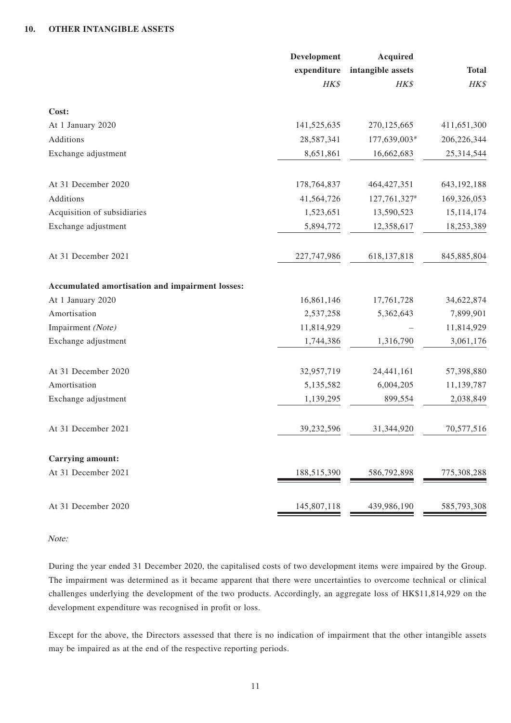|                                                 | Development   | <b>Acquired</b>   |               |
|-------------------------------------------------|---------------|-------------------|---------------|
|                                                 | expenditure   | intangible assets | <b>Total</b>  |
|                                                 | HK\$          | HK\$              | HK\$          |
| Cost:                                           |               |                   |               |
| At 1 January 2020                               | 141,525,635   | 270,125,665       | 411,651,300   |
| Additions                                       | 28,587,341    | 177,639,003#      | 206,226,344   |
| Exchange adjustment                             | 8,651,861     | 16,662,683        | 25,314,544    |
| At 31 December 2020                             | 178,764,837   | 464, 427, 351     | 643, 192, 188 |
| Additions                                       | 41,564,726    | 127,761,327#      | 169,326,053   |
| Acquisition of subsidiaries                     | 1,523,651     | 13,590,523        | 15, 114, 174  |
| Exchange adjustment                             | 5,894,772     | 12,358,617        | 18,253,389    |
| At 31 December 2021                             | 227, 747, 986 | 618, 137, 818     | 845,885,804   |
| Accumulated amortisation and impairment losses: |               |                   |               |
| At 1 January 2020                               | 16,861,146    | 17,761,728        | 34,622,874    |
| Amortisation                                    | 2,537,258     | 5,362,643         | 7,899,901     |
| Impairment (Note)                               | 11,814,929    |                   | 11,814,929    |
| Exchange adjustment                             | 1,744,386     | 1,316,790         | 3,061,176     |
| At 31 December 2020                             | 32,957,719    | 24,441,161        | 57,398,880    |
| Amortisation                                    | 5,135,582     | 6,004,205         | 11,139,787    |
| Exchange adjustment                             | 1,139,295     | 899,554           | 2,038,849     |
| At 31 December 2021                             | 39,232,596    | 31,344,920        | 70,577,516    |
| Carrying amount:                                |               |                   |               |
| At 31 December 2021                             | 188,515,390   | 586,792,898       | 775,308,288   |
| At 31 December 2020                             | 145,807,118   | 439,986,190       | 585,793,308   |

#### Note:

During the year ended 31 December 2020, the capitalised costs of two development items were impaired by the Group. The impairment was determined as it became apparent that there were uncertainties to overcome technical or clinical challenges underlying the development of the two products. Accordingly, an aggregate loss of HK\$11,814,929 on the development expenditure was recognised in profit or loss.

Except for the above, the Directors assessed that there is no indication of impairment that the other intangible assets may be impaired as at the end of the respective reporting periods.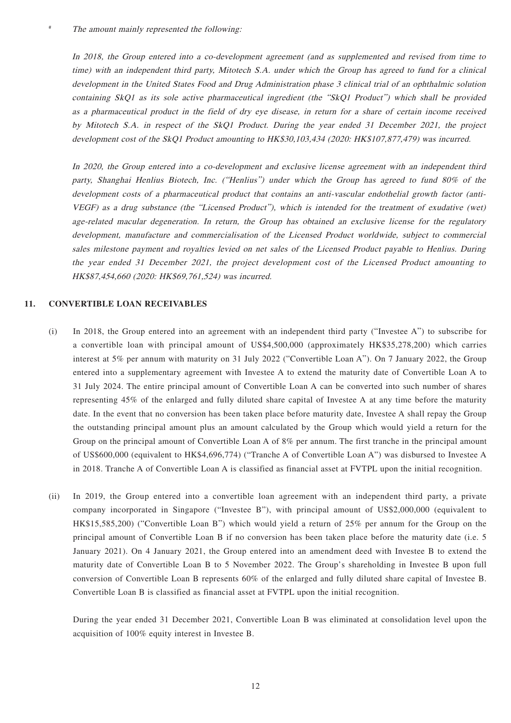In 2018, the Group entered into a co-development agreement (and as supplemented and revised from time to time) with an independent third party, Mitotech S.A. under which the Group has agreed to fund for a clinical development in the United States Food and Drug Administration phase 3 clinical trial of an ophthalmic solution containing SkQ1 as its sole active pharmaceutical ingredient (the "SkQ1 Product") which shall be provided as a pharmaceutical product in the field of dry eye disease, in return for a share of certain income received by Mitotech S.A. in respect of the SkQ1 Product. During the year ended 31 December 2021, the project development cost of the SkQ1 Product amounting to HK\$30,103,434 (2020: HK\$107,877,479) was incurred.

In 2020, the Group entered into a co-development and exclusive license agreement with an independent third party, Shanghai Henlius Biotech, Inc. ("Henlius") under which the Group has agreed to fund 80% of the development costs of a pharmaceutical product that contains an anti-vascular endothelial growth factor (anti-VEGF) as a drug substance (the "Licensed Product"), which is intended for the treatment of exudative (wet) age-related macular degeneration. In return, the Group has obtained an exclusive license for the regulatory development, manufacture and commercialisation of the Licensed Product worldwide, subject to commercial sales milestone payment and royalties levied on net sales of the Licensed Product payable to Henlius. During the year ended 31 December 2021, the project development cost of the Licensed Product amounting to HK\$87,454,660 (2020: HK\$69,761,524) was incurred.

#### **11. CONVERTIBLE LOAN RECEIVABLES**

- (i) In 2018, the Group entered into an agreement with an independent third party ("Investee A") to subscribe for a convertible loan with principal amount of US\$4,500,000 (approximately HK\$35,278,200) which carries interest at 5% per annum with maturity on 31 July 2022 ("Convertible Loan A"). On 7 January 2022, the Group entered into a supplementary agreement with Investee A to extend the maturity date of Convertible Loan A to 31 July 2024. The entire principal amount of Convertible Loan A can be converted into such number of shares representing 45% of the enlarged and fully diluted share capital of Investee A at any time before the maturity date. In the event that no conversion has been taken place before maturity date, Investee A shall repay the Group the outstanding principal amount plus an amount calculated by the Group which would yield a return for the Group on the principal amount of Convertible Loan A of 8% per annum. The first tranche in the principal amount of US\$600,000 (equivalent to HK\$4,696,774) ("Tranche A of Convertible Loan A") was disbursed to Investee A in 2018. Tranche A of Convertible Loan A is classified as financial asset at FVTPL upon the initial recognition.
- (ii) In 2019, the Group entered into a convertible loan agreement with an independent third party, a private company incorporated in Singapore ("Investee B"), with principal amount of US\$2,000,000 (equivalent to HK\$15,585,200) ("Convertible Loan B") which would yield a return of 25% per annum for the Group on the principal amount of Convertible Loan B if no conversion has been taken place before the maturity date (i.e. 5 January 2021). On 4 January 2021, the Group entered into an amendment deed with Investee B to extend the maturity date of Convertible Loan B to 5 November 2022. The Group's shareholding in Investee B upon full conversion of Convertible Loan B represents 60% of the enlarged and fully diluted share capital of Investee B. Convertible Loan B is classified as financial asset at FVTPL upon the initial recognition.

During the year ended 31 December 2021, Convertible Loan B was eliminated at consolidation level upon the acquisition of 100% equity interest in Investee B.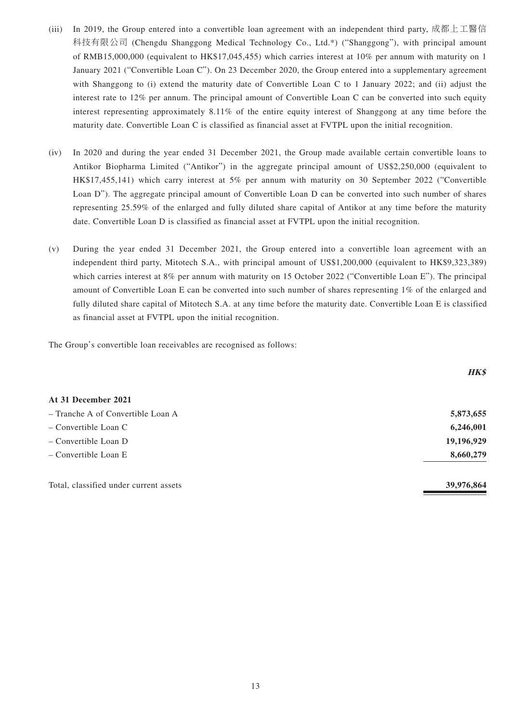- (iii) In 2019, the Group entered into a convertible loan agreement with an independent third party, 成都上工醫信 科技有限公司 (Chengdu Shanggong Medical Technology Co., Ltd.\*) ("Shanggong"), with principal amount of RMB15,000,000 (equivalent to HK\$17,045,455) which carries interest at 10% per annum with maturity on 1 January 2021 ("Convertible Loan C"). On 23 December 2020, the Group entered into a supplementary agreement with Shanggong to (i) extend the maturity date of Convertible Loan C to 1 January 2022; and (ii) adjust the interest rate to 12% per annum. The principal amount of Convertible Loan C can be converted into such equity interest representing approximately 8.11% of the entire equity interest of Shanggong at any time before the maturity date. Convertible Loan C is classified as financial asset at FVTPL upon the initial recognition.
- (iv) In 2020 and during the year ended 31 December 2021, the Group made available certain convertible loans to Antikor Biopharma Limited ("Antikor") in the aggregate principal amount of US\$2,250,000 (equivalent to HK\$17,455,141) which carry interest at 5% per annum with maturity on 30 September 2022 ("Convertible Loan D"). The aggregate principal amount of Convertible Loan D can be converted into such number of shares representing 25.59% of the enlarged and fully diluted share capital of Antikor at any time before the maturity date. Convertible Loan D is classified as financial asset at FVTPL upon the initial recognition.
- (v) During the year ended 31 December 2021, the Group entered into a convertible loan agreement with an independent third party, Mitotech S.A., with principal amount of US\$1,200,000 (equivalent to HK\$9,323,389) which carries interest at 8% per annum with maturity on 15 October 2022 ("Convertible Loan E"). The principal amount of Convertible Loan E can be converted into such number of shares representing 1% of the enlarged and fully diluted share capital of Mitotech S.A. at any time before the maturity date. Convertible Loan E is classified as financial asset at FVTPL upon the initial recognition.

The Group's convertible loan receivables are recognised as follows:

|                                        | <b>HK\$</b> |
|----------------------------------------|-------------|
| At 31 December 2021                    |             |
| - Tranche A of Convertible Loan A      | 5,873,655   |
| $\sim$ Convertible Loan C              | 6,246,001   |
| $-$ Convertible Loan D                 | 19,196,929  |
| $-$ Convertible Loan E                 | 8,660,279   |
| Total, classified under current assets | 39,976,864  |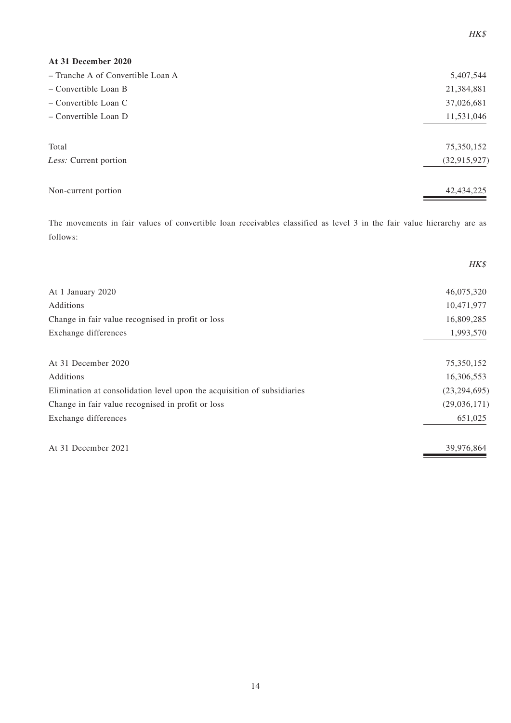| At 31 December 2020               |                |
|-----------------------------------|----------------|
| - Tranche A of Convertible Loan A | 5,407,544      |
| $-$ Convertible Loan B            | 21,384,881     |
| $-$ Convertible Loan C            | 37,026,681     |
| - Convertible Loan D              | 11,531,046     |
|                                   |                |
| Total                             | 75,350,152     |
| Less: Current portion             | (32, 915, 927) |
|                                   |                |
| Non-current portion               | 42, 434, 225   |

HK\$

The movements in fair values of convertible loan receivables classified as level 3 in the fair value hierarchy are as follows:

|                                                                         | HK\$           |
|-------------------------------------------------------------------------|----------------|
| At 1 January 2020                                                       | 46,075,320     |
| Additions                                                               | 10,471,977     |
| Change in fair value recognised in profit or loss                       | 16,809,285     |
| Exchange differences                                                    | 1,993,570      |
|                                                                         |                |
| At 31 December 2020                                                     | 75,350,152     |
| Additions                                                               | 16,306,553     |
| Elimination at consolidation level upon the acquisition of subsidiaries | (23, 294, 695) |
| Change in fair value recognised in profit or loss                       | (29,036,171)   |
| Exchange differences                                                    | 651,025        |
| At 31 December 2021                                                     | 39,976,864     |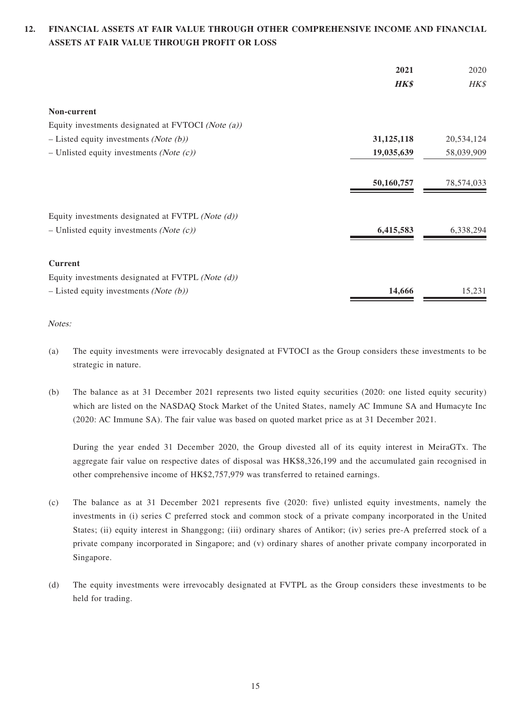### **12. FINANCIAL ASSETS AT FAIR VALUE THROUGH OTHER COMPREHENSIVE INCOME AND FINANCIAL ASSETS AT FAIR VALUE THROUGH PROFIT OR LOSS**

|                                                      | 2021       | 2020       |
|------------------------------------------------------|------------|------------|
|                                                      | HK\$       | HK\$       |
| Non-current                                          |            |            |
| Equity investments designated at FVTOCI (Note (a))   |            |            |
| $-$ Listed equity investments ( <i>Note (b)</i> )    | 31,125,118 | 20,534,124 |
| - Unlisted equity investments (Note $(c)$ )          | 19,035,639 | 58,039,909 |
|                                                      | 50,160,757 | 78,574,033 |
| Equity investments designated at FVTPL (Note $(d)$ ) |            |            |
| - Unlisted equity investments (Note $(c)$ )          | 6,415,583  | 6,338,294  |
| <b>Current</b>                                       |            |            |
| Equity investments designated at FVTPL (Note $(d)$ ) |            |            |
| $-$ Listed equity investments ( <i>Note (b)</i> )    | 14,666     | 15,231     |

### Notes:

- (a) The equity investments were irrevocably designated at FVTOCI as the Group considers these investments to be strategic in nature.
- (b) The balance as at 31 December 2021 represents two listed equity securities (2020: one listed equity security) which are listed on the NASDAQ Stock Market of the United States, namely AC Immune SA and Humacyte Inc (2020: AC Immune SA). The fair value was based on quoted market price as at 31 December 2021.

During the year ended 31 December 2020, the Group divested all of its equity interest in MeiraGTx. The aggregate fair value on respective dates of disposal was HK\$8,326,199 and the accumulated gain recognised in other comprehensive income of HK\$2,757,979 was transferred to retained earnings.

- (c) The balance as at 31 December 2021 represents five (2020: five) unlisted equity investments, namely the investments in (i) series C preferred stock and common stock of a private company incorporated in the United States; (ii) equity interest in Shanggong; (iii) ordinary shares of Antikor; (iv) series pre-A preferred stock of a private company incorporated in Singapore; and (v) ordinary shares of another private company incorporated in Singapore.
- (d) The equity investments were irrevocably designated at FVTPL as the Group considers these investments to be held for trading.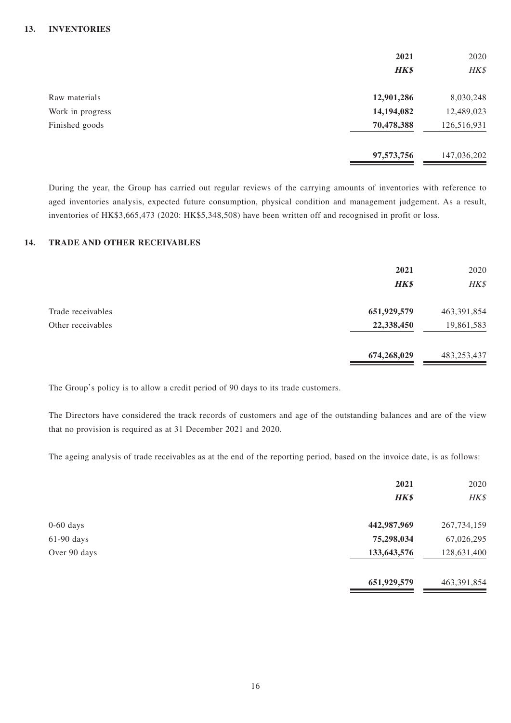|                  | 2021<br><b>HK\$</b> | 2020<br>HK\$ |
|------------------|---------------------|--------------|
| Raw materials    | 12,901,286          | 8,030,248    |
| Work in progress | 14,194,082          | 12,489,023   |
| Finished goods   | 70,478,388          | 126,516,931  |
|                  | 97,573,756          | 147,036,202  |

During the year, the Group has carried out regular reviews of the carrying amounts of inventories with reference to aged inventories analysis, expected future consumption, physical condition and management judgement. As a result, inventories of HK\$3,665,473 (2020: HK\$5,348,508) have been written off and recognised in profit or loss.

### **14. TRADE AND OTHER RECEIVABLES**

|                                        | 2021<br>HK\$              | 2020<br>HK\$                |
|----------------------------------------|---------------------------|-----------------------------|
| Trade receivables<br>Other receivables | 651,929,579<br>22,338,450 | 463, 391, 854<br>19,861,583 |
|                                        | 674,268,029               | 483,253,437                 |

The Group's policy is to allow a credit period of 90 days to its trade customers.

The Directors have considered the track records of customers and age of the outstanding balances and are of the view that no provision is required as at 31 December 2021 and 2020.

The ageing analysis of trade receivables as at the end of the reporting period, based on the invoice date, is as follows:

|              | 2021        | 2020        |
|--------------|-------------|-------------|
|              | HK\$        | HK\$        |
| $0-60$ days  | 442,987,969 | 267,734,159 |
| $61-90$ days | 75,298,034  | 67,026,295  |
| Over 90 days | 133,643,576 | 128,631,400 |
|              | 651,929,579 | 463,391,854 |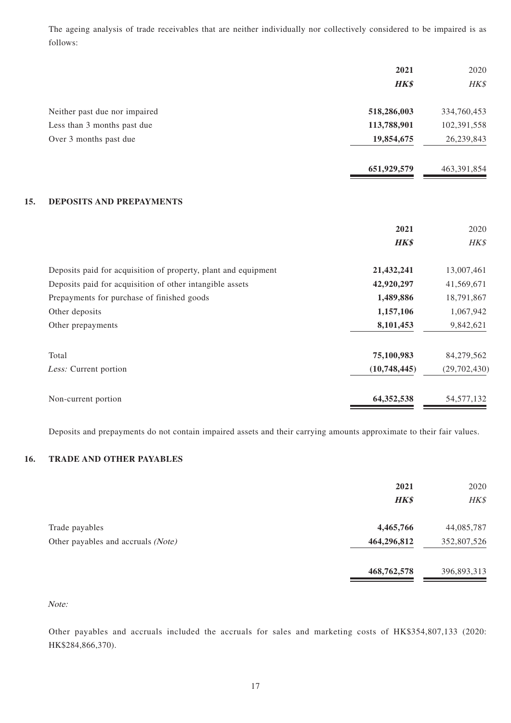The ageing analysis of trade receivables that are neither individually nor collectively considered to be impaired is as follows:

|       |                                                                | 2021         | 2020         |
|-------|----------------------------------------------------------------|--------------|--------------|
|       |                                                                | <b>HK\$</b>  | HK\$         |
|       | Neither past due nor impaired                                  | 518,286,003  | 334,760,453  |
|       | Less than 3 months past due                                    | 113,788,901  | 102,391,558  |
|       | Over 3 months past due                                         | 19,854,675   | 26,239,843   |
|       |                                                                | 651,929,579  | 463,391,854  |
| 15.   | <b>DEPOSITS AND PREPAYMENTS</b>                                |              |              |
|       |                                                                | 2021         | 2020         |
|       |                                                                | <b>HK\$</b>  | HK\$         |
|       | Deposits paid for acquisition of property, plant and equipment | 21,432,241   | 13,007,461   |
|       | Deposits paid for acquisition of other intangible assets       | 42,920,297   | 41,569,671   |
|       | Prepayments for purchase of finished goods                     | 1,489,886    | 18,791,867   |
|       | Other deposits                                                 | 1,157,106    | 1,067,942    |
|       | Other prepayments                                              | 8,101,453    | 9,842,621    |
| Total |                                                                | 75,100,983   | 84,279,562   |
|       | Less: Current portion                                          | (10,748,445) | (29,702,430) |
|       | Non-current portion                                            | 64,352,538   | 54, 577, 132 |

Deposits and prepayments do not contain impaired assets and their carrying amounts approximate to their fair values.

### **16. TRADE AND OTHER PAYABLES**

|                                                      | 2021<br><b>HK\$</b>      | 2020<br>HK\$              |
|------------------------------------------------------|--------------------------|---------------------------|
| Trade payables<br>Other payables and accruals (Note) | 4,465,766<br>464,296,812 | 44,085,787<br>352,807,526 |
|                                                      | 468,762,578              | 396,893,313               |

#### Note:

Other payables and accruals included the accruals for sales and marketing costs of HK\$354,807,133 (2020: HK\$284,866,370).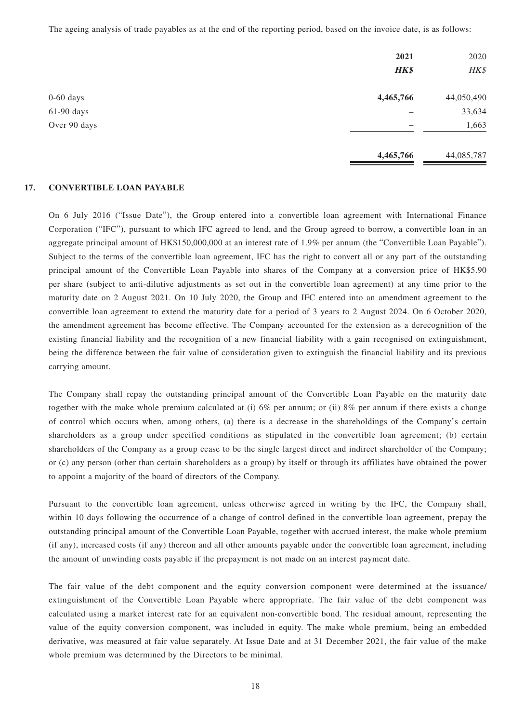The ageing analysis of trade payables as at the end of the reporting period, based on the invoice date, is as follows:

|              | 2021<br><b>HK\$</b> | 2020<br>HK\$ |
|--------------|---------------------|--------------|
| $0-60$ days  | 4,465,766           | 44,050,490   |
| $61-90$ days |                     | 33,634       |
| Over 90 days | —                   | 1,663        |
|              | 4,465,766           | 44,085,787   |

#### **17. CONVERTIBLE LOAN PAYABLE**

On 6 July 2016 ("Issue Date"), the Group entered into a convertible loan agreement with International Finance Corporation ("IFC"), pursuant to which IFC agreed to lend, and the Group agreed to borrow, a convertible loan in an aggregate principal amount of HK\$150,000,000 at an interest rate of 1.9% per annum (the "Convertible Loan Payable"). Subject to the terms of the convertible loan agreement, IFC has the right to convert all or any part of the outstanding principal amount of the Convertible Loan Payable into shares of the Company at a conversion price of HK\$5.90 per share (subject to anti-dilutive adjustments as set out in the convertible loan agreement) at any time prior to the maturity date on 2 August 2021. On 10 July 2020, the Group and IFC entered into an amendment agreement to the convertible loan agreement to extend the maturity date for a period of 3 years to 2 August 2024. On 6 October 2020, the amendment agreement has become effective. The Company accounted for the extension as a derecognition of the existing financial liability and the recognition of a new financial liability with a gain recognised on extinguishment, being the difference between the fair value of consideration given to extinguish the financial liability and its previous carrying amount.

The Company shall repay the outstanding principal amount of the Convertible Loan Payable on the maturity date together with the make whole premium calculated at (i) 6% per annum; or (ii) 8% per annum if there exists a change of control which occurs when, among others, (a) there is a decrease in the shareholdings of the Company's certain shareholders as a group under specified conditions as stipulated in the convertible loan agreement; (b) certain shareholders of the Company as a group cease to be the single largest direct and indirect shareholder of the Company; or (c) any person (other than certain shareholders as a group) by itself or through its affiliates have obtained the power to appoint a majority of the board of directors of the Company.

Pursuant to the convertible loan agreement, unless otherwise agreed in writing by the IFC, the Company shall, within 10 days following the occurrence of a change of control defined in the convertible loan agreement, prepay the outstanding principal amount of the Convertible Loan Payable, together with accrued interest, the make whole premium (if any), increased costs (if any) thereon and all other amounts payable under the convertible loan agreement, including the amount of unwinding costs payable if the prepayment is not made on an interest payment date.

The fair value of the debt component and the equity conversion component were determined at the issuance/ extinguishment of the Convertible Loan Payable where appropriate. The fair value of the debt component was calculated using a market interest rate for an equivalent non-convertible bond. The residual amount, representing the value of the equity conversion component, was included in equity. The make whole premium, being an embedded derivative, was measured at fair value separately. At Issue Date and at 31 December 2021, the fair value of the make whole premium was determined by the Directors to be minimal.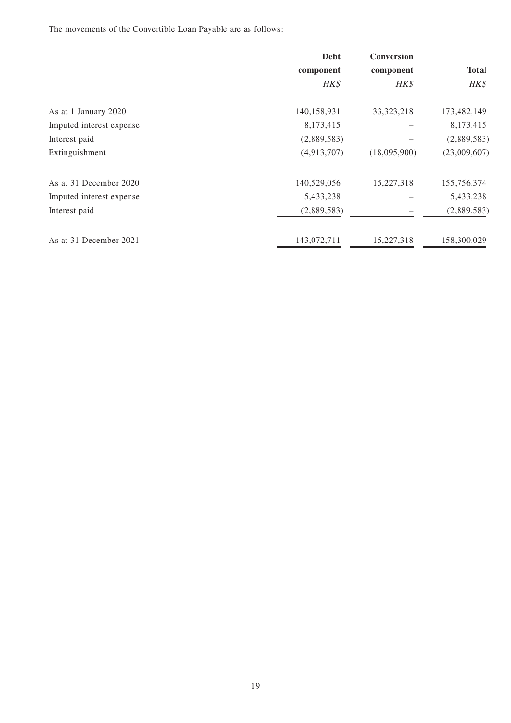The movements of the Convertible Loan Payable are as follows:

|                          | <b>Debt</b> | <b>Conversion</b> |              |
|--------------------------|-------------|-------------------|--------------|
|                          | component   | component         | <b>Total</b> |
|                          | HK\$        | HK\$              | HK\$         |
| As at 1 January 2020     | 140,158,931 | 33, 323, 218      | 173,482,149  |
| Imputed interest expense | 8,173,415   |                   | 8,173,415    |
| Interest paid            | (2,889,583) |                   | (2,889,583)  |
| Extinguishment           | (4,913,707) | (18,095,900)      | (23,009,607) |
| As at 31 December 2020   | 140,529,056 | 15,227,318        | 155,756,374  |
| Imputed interest expense | 5,433,238   |                   | 5,433,238    |
| Interest paid            | (2,889,583) |                   | (2,889,583)  |
| As at 31 December 2021   | 143,072,711 | 15,227,318        | 158,300,029  |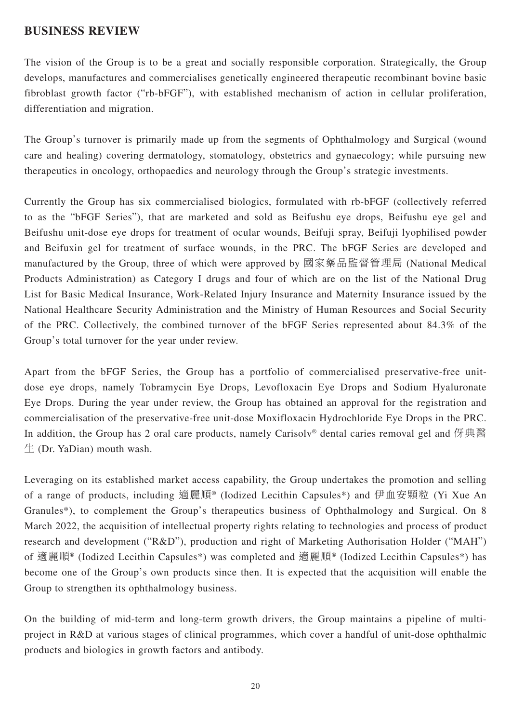### **BUSINESS REVIEW**

The vision of the Group is to be a great and socially responsible corporation. Strategically, the Group develops, manufactures and commercialises genetically engineered therapeutic recombinant bovine basic fibroblast growth factor ("rb-bFGF"), with established mechanism of action in cellular proliferation, differentiation and migration.

The Group's turnover is primarily made up from the segments of Ophthalmology and Surgical (wound care and healing) covering dermatology, stomatology, obstetrics and gynaecology; while pursuing new therapeutics in oncology, orthopaedics and neurology through the Group's strategic investments.

Currently the Group has six commercialised biologics, formulated with rb-bFGF (collectively referred to as the "bFGF Series"), that are marketed and sold as Beifushu eye drops, Beifushu eye gel and Beifushu unit-dose eye drops for treatment of ocular wounds, Beifuji spray, Beifuji lyophilised powder and Beifuxin gel for treatment of surface wounds, in the PRC. The bFGF Series are developed and manufactured by the Group, three of which were approved by 國家藥品監督管理局 (National Medical Products Administration) as Category I drugs and four of which are on the list of the National Drug List for Basic Medical Insurance, Work-Related Injury Insurance and Maternity Insurance issued by the National Healthcare Security Administration and the Ministry of Human Resources and Social Security of the PRC. Collectively, the combined turnover of the bFGF Series represented about 84.3% of the Group's total turnover for the year under review.

Apart from the bFGF Series, the Group has a portfolio of commercialised preservative-free unitdose eye drops, namely Tobramycin Eye Drops, Levofloxacin Eye Drops and Sodium Hyaluronate Eye Drops. During the year under review, the Group has obtained an approval for the registration and commercialisation of the preservative-free unit-dose Moxifloxacin Hydrochloride Eye Drops in the PRC. In addition, the Group has 2 oral care products, namely Carisolv<sup>®</sup> dental caries removal gel and 伢典醫 生 (Dr. YaDian) mouth wash.

Leveraging on its established market access capability, the Group undertakes the promotion and selling of a range of products, including 適麗順® (Iodized Lecithin Capsules\*) and 伊血安顆粒 (Yi Xue An Granules\*), to complement the Group's therapeutics business of Ophthalmology and Surgical. On 8 March 2022, the acquisition of intellectual property rights relating to technologies and process of product research and development ("R&D"), production and right of Marketing Authorisation Holder ("MAH") of 適麗順® (Iodized Lecithin Capsules\*) was completed and 適麗順® (Iodized Lecithin Capsules\*) has become one of the Group's own products since then. It is expected that the acquisition will enable the Group to strengthen its ophthalmology business.

On the building of mid-term and long-term growth drivers, the Group maintains a pipeline of multiproject in R&D at various stages of clinical programmes, which cover a handful of unit-dose ophthalmic products and biologics in growth factors and antibody.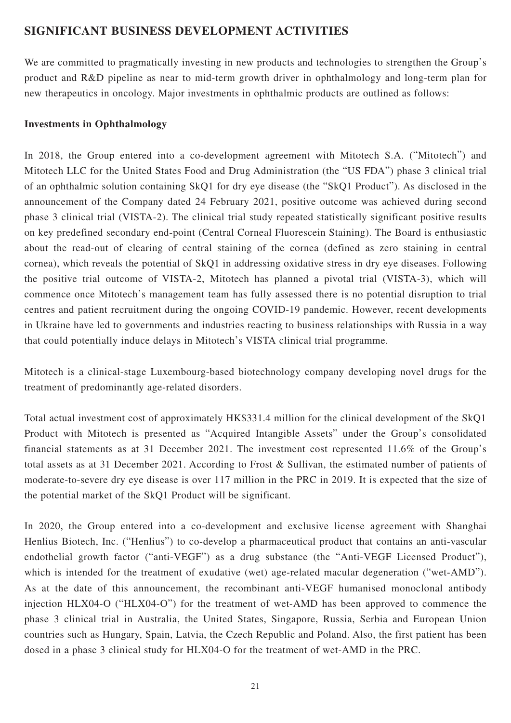## **SIGNIFICANT BUSINESS DEVELOPMENT ACTIVITIES**

We are committed to pragmatically investing in new products and technologies to strengthen the Group's product and R&D pipeline as near to mid-term growth driver in ophthalmology and long-term plan for new therapeutics in oncology. Major investments in ophthalmic products are outlined as follows:

### **Investments in Ophthalmology**

In 2018, the Group entered into a co-development agreement with Mitotech S.A. ("Mitotech") and Mitotech LLC for the United States Food and Drug Administration (the "US FDA") phase 3 clinical trial of an ophthalmic solution containing SkQ1 for dry eye disease (the "SkQ1 Product"). As disclosed in the announcement of the Company dated 24 February 2021, positive outcome was achieved during second phase 3 clinical trial (VISTA-2). The clinical trial study repeated statistically significant positive results on key predefined secondary end-point (Central Corneal Fluorescein Staining). The Board is enthusiastic about the read-out of clearing of central staining of the cornea (defined as zero staining in central cornea), which reveals the potential of SkQ1 in addressing oxidative stress in dry eye diseases. Following the positive trial outcome of VISTA-2, Mitotech has planned a pivotal trial (VISTA-3), which will commence once Mitotech's management team has fully assessed there is no potential disruption to trial centres and patient recruitment during the ongoing COVID-19 pandemic. However, recent developments in Ukraine have led to governments and industries reacting to business relationships with Russia in a way that could potentially induce delays in Mitotech's VISTA clinical trial programme.

Mitotech is a clinical-stage Luxembourg-based biotechnology company developing novel drugs for the treatment of predominantly age-related disorders.

Total actual investment cost of approximately HK\$331.4 million for the clinical development of the SkQ1 Product with Mitotech is presented as "Acquired Intangible Assets" under the Group's consolidated financial statements as at 31 December 2021. The investment cost represented 11.6% of the Group's total assets as at 31 December 2021. According to Frost & Sullivan, the estimated number of patients of moderate-to-severe dry eye disease is over 117 million in the PRC in 2019. It is expected that the size of the potential market of the SkQ1 Product will be significant.

In 2020, the Group entered into a co-development and exclusive license agreement with Shanghai Henlius Biotech, Inc. ("Henlius") to co-develop a pharmaceutical product that contains an anti-vascular endothelial growth factor ("anti-VEGF") as a drug substance (the "Anti-VEGF Licensed Product"), which is intended for the treatment of exudative (wet) age-related macular degeneration ("wet-AMD"). As at the date of this announcement, the recombinant anti-VEGF humanised monoclonal antibody injection HLX04-O ("HLX04-O") for the treatment of wet-AMD has been approved to commence the phase 3 clinical trial in Australia, the United States, Singapore, Russia, Serbia and European Union countries such as Hungary, Spain, Latvia, the Czech Republic and Poland. Also, the first patient has been dosed in a phase 3 clinical study for HLX04-O for the treatment of wet-AMD in the PRC.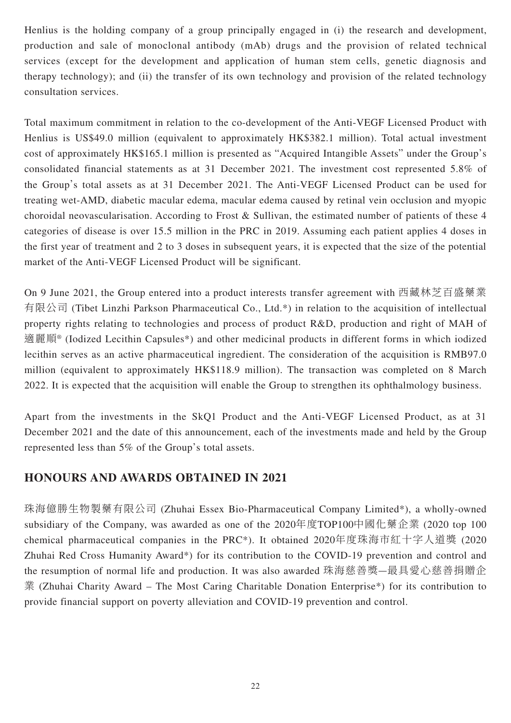Henlius is the holding company of a group principally engaged in (i) the research and development, production and sale of monoclonal antibody (mAb) drugs and the provision of related technical services (except for the development and application of human stem cells, genetic diagnosis and therapy technology); and (ii) the transfer of its own technology and provision of the related technology consultation services.

Total maximum commitment in relation to the co-development of the Anti-VEGF Licensed Product with Henlius is US\$49.0 million (equivalent to approximately HK\$382.1 million). Total actual investment cost of approximately HK\$165.1 million is presented as "Acquired Intangible Assets" under the Group's consolidated financial statements as at 31 December 2021. The investment cost represented 5.8% of the Group's total assets as at 31 December 2021. The Anti-VEGF Licensed Product can be used for treating wet-AMD, diabetic macular edema, macular edema caused by retinal vein occlusion and myopic choroidal neovascularisation. According to Frost & Sullivan, the estimated number of patients of these 4 categories of disease is over 15.5 million in the PRC in 2019. Assuming each patient applies 4 doses in the first year of treatment and 2 to 3 doses in subsequent years, it is expected that the size of the potential market of the Anti-VEGF Licensed Product will be significant.

On 9 June 2021, the Group entered into a product interests transfer agreement with 西藏林芝百盛藥業 有限公司 (Tibet Linzhi Parkson Pharmaceutical Co., Ltd.\*) in relation to the acquisition of intellectual property rights relating to technologies and process of product R&D, production and right of MAH of 適麗順® (Iodized Lecithin Capsules\*) and other medicinal products in different forms in which iodized lecithin serves as an active pharmaceutical ingredient. The consideration of the acquisition is RMB97.0 million (equivalent to approximately HK\$118.9 million). The transaction was completed on 8 March 2022. It is expected that the acquisition will enable the Group to strengthen its ophthalmology business.

Apart from the investments in the SkQ1 Product and the Anti-VEGF Licensed Product, as at 31 December 2021 and the date of this announcement, each of the investments made and held by the Group represented less than 5% of the Group's total assets.

## **HONOURS AND AWARDS OBTAINED IN 2021**

珠海億勝生物製藥有限公司 (Zhuhai Essex Bio-Pharmaceutical Company Limited\*), a wholly-owned subsidiary of the Company, was awarded as one of the 2020年度TOP100中國化藥企業 (2020 top 100 chemical pharmaceutical companies in the PRC\*). It obtained 2020年度珠海市紅十字人道獎 (2020 Zhuhai Red Cross Humanity Award\*) for its contribution to the COVID-19 prevention and control and the resumption of normal life and production. It was also awarded 珠海慈善獎—最具愛心慈善捐贈企 業 (Zhuhai Charity Award – The Most Caring Charitable Donation Enterprise\*) for its contribution to provide financial support on poverty alleviation and COVID-19 prevention and control.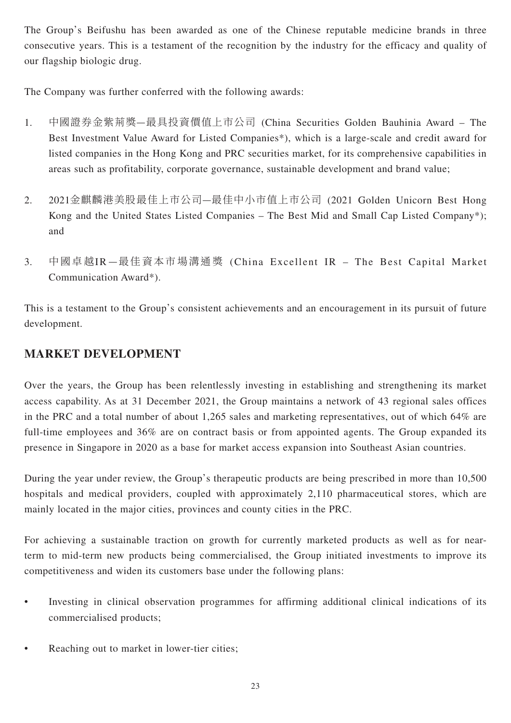The Group's Beifushu has been awarded as one of the Chinese reputable medicine brands in three consecutive years. This is a testament of the recognition by the industry for the efficacy and quality of our flagship biologic drug.

The Company was further conferred with the following awards:

- 1. 中國證券金紫荊獎—最具投資價值上市公司 (China Securities Golden Bauhinia Award The Best Investment Value Award for Listed Companies\*), which is a large-scale and credit award for listed companies in the Hong Kong and PRC securities market, for its comprehensive capabilities in areas such as profitability, corporate governance, sustainable development and brand value;
- 2. 2021金麒麟港美股最佳上市公司—最佳中小市值上市公司 (2021 Golden Unicorn Best Hong Kong and the United States Listed Companies – The Best Mid and Small Cap Listed Company\*); and
- 3. 中國卓越IR —最佳資本市場溝通獎 (China Excellent IR The Best Capital Market Communication Award\*).

This is a testament to the Group's consistent achievements and an encouragement in its pursuit of future development.

# **MARKET DEVELOPMENT**

Over the years, the Group has been relentlessly investing in establishing and strengthening its market access capability. As at 31 December 2021, the Group maintains a network of 43 regional sales offices in the PRC and a total number of about 1,265 sales and marketing representatives, out of which 64% are full-time employees and 36% are on contract basis or from appointed agents. The Group expanded its presence in Singapore in 2020 as a base for market access expansion into Southeast Asian countries.

During the year under review, the Group's therapeutic products are being prescribed in more than 10,500 hospitals and medical providers, coupled with approximately 2,110 pharmaceutical stores, which are mainly located in the major cities, provinces and county cities in the PRC.

For achieving a sustainable traction on growth for currently marketed products as well as for nearterm to mid-term new products being commercialised, the Group initiated investments to improve its competitiveness and widen its customers base under the following plans:

- Investing in clinical observation programmes for affirming additional clinical indications of its commercialised products;
- Reaching out to market in lower-tier cities;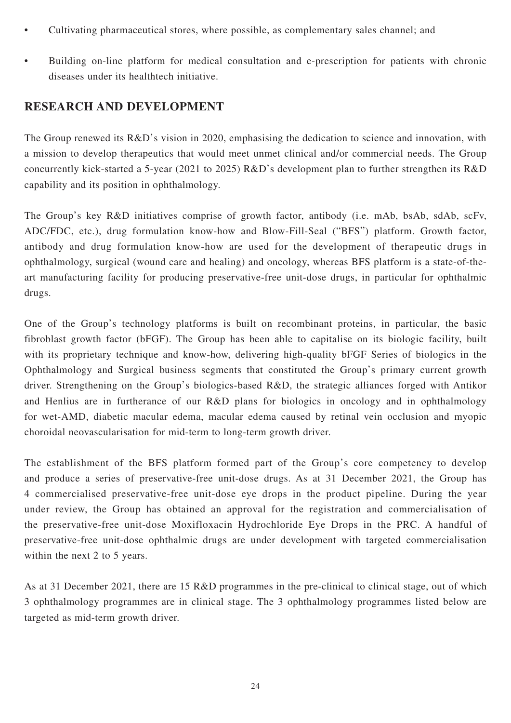- Cultivating pharmaceutical stores, where possible, as complementary sales channel; and
- Building on-line platform for medical consultation and e-prescription for patients with chronic diseases under its healthtech initiative.

## **RESEARCH AND DEVELOPMENT**

The Group renewed its R&D's vision in 2020, emphasising the dedication to science and innovation, with a mission to develop therapeutics that would meet unmet clinical and/or commercial needs. The Group concurrently kick-started a 5-year (2021 to 2025) R&D's development plan to further strengthen its R&D capability and its position in ophthalmology.

The Group's key R&D initiatives comprise of growth factor, antibody (i.e. mAb, bsAb, sdAb, scFv, ADC/FDC, etc.), drug formulation know-how and Blow-Fill-Seal ("BFS") platform. Growth factor, antibody and drug formulation know-how are used for the development of therapeutic drugs in ophthalmology, surgical (wound care and healing) and oncology, whereas BFS platform is a state-of-theart manufacturing facility for producing preservative-free unit-dose drugs, in particular for ophthalmic drugs.

One of the Group's technology platforms is built on recombinant proteins, in particular, the basic fibroblast growth factor (bFGF). The Group has been able to capitalise on its biologic facility, built with its proprietary technique and know-how, delivering high-quality bFGF Series of biologics in the Ophthalmology and Surgical business segments that constituted the Group's primary current growth driver. Strengthening on the Group's biologics-based R&D, the strategic alliances forged with Antikor and Henlius are in furtherance of our R&D plans for biologics in oncology and in ophthalmology for wet-AMD, diabetic macular edema, macular edema caused by retinal vein occlusion and myopic choroidal neovascularisation for mid-term to long-term growth driver.

The establishment of the BFS platform formed part of the Group's core competency to develop and produce a series of preservative-free unit-dose drugs. As at 31 December 2021, the Group has 4 commercialised preservative-free unit-dose eye drops in the product pipeline. During the year under review, the Group has obtained an approval for the registration and commercialisation of the preservative-free unit-dose Moxifloxacin Hydrochloride Eye Drops in the PRC. A handful of preservative-free unit-dose ophthalmic drugs are under development with targeted commercialisation within the next 2 to 5 years.

As at 31 December 2021, there are 15 R&D programmes in the pre-clinical to clinical stage, out of which 3 ophthalmology programmes are in clinical stage. The 3 ophthalmology programmes listed below are targeted as mid-term growth driver.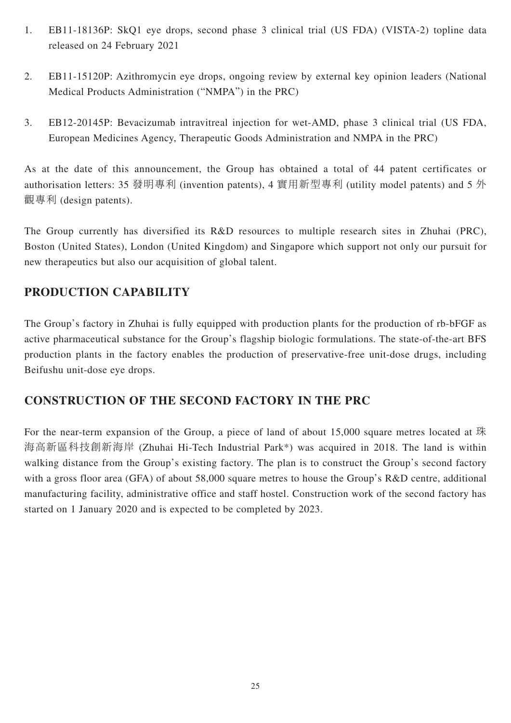- 1. EB11-18136P: SkQ1 eye drops, second phase 3 clinical trial (US FDA) (VISTA-2) topline data released on 24 February 2021
- 2. EB11-15120P: Azithromycin eye drops, ongoing review by external key opinion leaders (National Medical Products Administration ("NMPA") in the PRC)
- 3. EB12-20145P: Bevacizumab intravitreal injection for wet-AMD, phase 3 clinical trial (US FDA, European Medicines Agency, Therapeutic Goods Administration and NMPA in the PRC)

As at the date of this announcement, the Group has obtained a total of 44 patent certificates or authorisation letters: 35 發明專利 (invention patents), 4 實用新型專利 (utility model patents) and 5 外 觀專利 (design patents).

The Group currently has diversified its R&D resources to multiple research sites in Zhuhai (PRC), Boston (United States), London (United Kingdom) and Singapore which support not only our pursuit for new therapeutics but also our acquisition of global talent.

# **PRODUCTION CAPABILITY**

The Group's factory in Zhuhai is fully equipped with production plants for the production of rb-bFGF as active pharmaceutical substance for the Group's flagship biologic formulations. The state-of-the-art BFS production plants in the factory enables the production of preservative-free unit-dose drugs, including Beifushu unit-dose eye drops.

## **CONSTRUCTION OF THE SECOND FACTORY IN THE PRC**

For the near-term expansion of the Group, a piece of land of about 15,000 square metres located at 珠 海高新區科技創新海岸 (Zhuhai Hi-Tech Industrial Park\*) was acquired in 2018. The land is within walking distance from the Group's existing factory. The plan is to construct the Group's second factory with a gross floor area (GFA) of about 58,000 square metres to house the Group's R&D centre, additional manufacturing facility, administrative office and staff hostel. Construction work of the second factory has started on 1 January 2020 and is expected to be completed by 2023.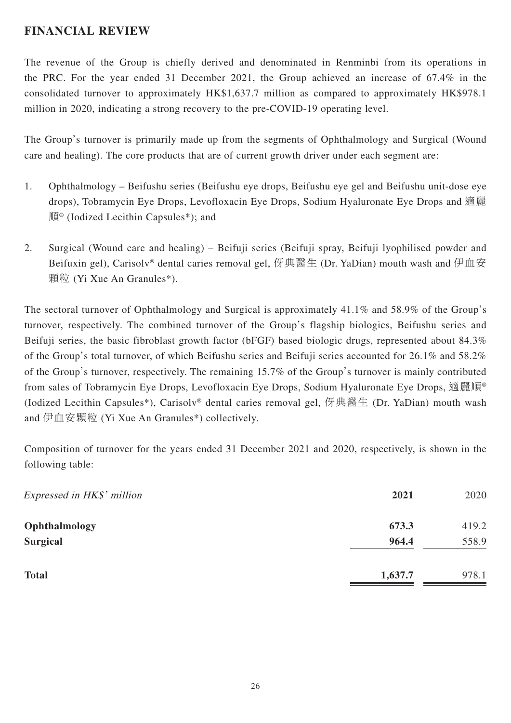## **FINANCIAL REVIEW**

The revenue of the Group is chiefly derived and denominated in Renminbi from its operations in the PRC. For the year ended 31 December 2021, the Group achieved an increase of 67.4% in the consolidated turnover to approximately HK\$1,637.7 million as compared to approximately HK\$978.1 million in 2020, indicating a strong recovery to the pre-COVID-19 operating level.

The Group's turnover is primarily made up from the segments of Ophthalmology and Surgical (Wound care and healing). The core products that are of current growth driver under each segment are:

- 1. Ophthalmology Beifushu series (Beifushu eye drops, Beifushu eye gel and Beifushu unit-dose eye drops), Tobramycin Eye Drops, Levofloxacin Eye Drops, Sodium Hyaluronate Eye Drops and 適麗 順® (Iodized Lecithin Capsules\*); and
- 2. Surgical (Wound care and healing) Beifuji series (Beifuji spray, Beifuji lyophilised powder and Beifuxin gel), Carisolv<sup>®</sup> dental caries removal gel, 伢典醫生 (Dr. YaDian) mouth wash and 伊血安 顆粒 (Yi Xue An Granules\*).

The sectoral turnover of Ophthalmology and Surgical is approximately 41.1% and 58.9% of the Group's turnover, respectively. The combined turnover of the Group's flagship biologics, Beifushu series and Beifuji series, the basic fibroblast growth factor (bFGF) based biologic drugs, represented about 84.3% of the Group's total turnover, of which Beifushu series and Beifuji series accounted for 26.1% and 58.2% of the Group's turnover, respectively. The remaining 15.7% of the Group's turnover is mainly contributed from sales of Tobramycin Eye Drops, Levofloxacin Eye Drops, Sodium Hyaluronate Eye Drops, 適麗順® (Iodized Lecithin Capsules\*), Carisolv® dental caries removal gel, 伢典醫生 (Dr. YaDian) mouth wash and 伊血安顆粒 (Yi Xue An Granules\*) collectively.

Composition of turnover for the years ended 31 December 2021 and 2020, respectively, is shown in the following table:

| Expressed in HK\$' million | 2021    | 2020  |
|----------------------------|---------|-------|
| Ophthalmology              | 673.3   | 419.2 |
| <b>Surgical</b>            | 964.4   | 558.9 |
| <b>Total</b>               | 1,637.7 | 978.1 |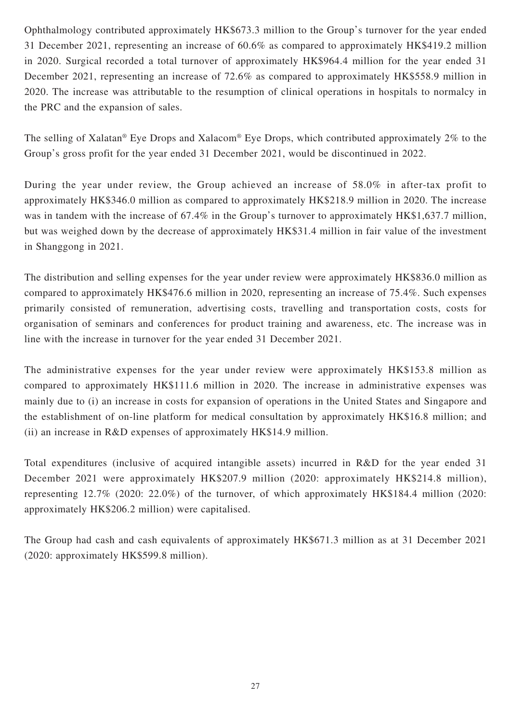Ophthalmology contributed approximately HK\$673.3 million to the Group's turnover for the year ended 31 December 2021, representing an increase of 60.6% as compared to approximately HK\$419.2 million in 2020. Surgical recorded a total turnover of approximately HK\$964.4 million for the year ended 31 December 2021, representing an increase of 72.6% as compared to approximately HK\$558.9 million in 2020. The increase was attributable to the resumption of clinical operations in hospitals to normalcy in the PRC and the expansion of sales.

The selling of Xalatan® Eye Drops and Xalacom® Eye Drops, which contributed approximately 2% to the Group's gross profit for the year ended 31 December 2021, would be discontinued in 2022.

During the year under review, the Group achieved an increase of 58.0% in after-tax profit to approximately HK\$346.0 million as compared to approximately HK\$218.9 million in 2020. The increase was in tandem with the increase of 67.4% in the Group's turnover to approximately HK\$1,637.7 million, but was weighed down by the decrease of approximately HK\$31.4 million in fair value of the investment in Shanggong in 2021.

The distribution and selling expenses for the year under review were approximately HK\$836.0 million as compared to approximately HK\$476.6 million in 2020, representing an increase of 75.4%. Such expenses primarily consisted of remuneration, advertising costs, travelling and transportation costs, costs for organisation of seminars and conferences for product training and awareness, etc. The increase was in line with the increase in turnover for the year ended 31 December 2021.

The administrative expenses for the year under review were approximately HK\$153.8 million as compared to approximately HK\$111.6 million in 2020. The increase in administrative expenses was mainly due to (i) an increase in costs for expansion of operations in the United States and Singapore and the establishment of on-line platform for medical consultation by approximately HK\$16.8 million; and (ii) an increase in R&D expenses of approximately HK\$14.9 million.

Total expenditures (inclusive of acquired intangible assets) incurred in R&D for the year ended 31 December 2021 were approximately HK\$207.9 million (2020: approximately HK\$214.8 million), representing 12.7% (2020: 22.0%) of the turnover, of which approximately HK\$184.4 million (2020: approximately HK\$206.2 million) were capitalised.

The Group had cash and cash equivalents of approximately HK\$671.3 million as at 31 December 2021 (2020: approximately HK\$599.8 million).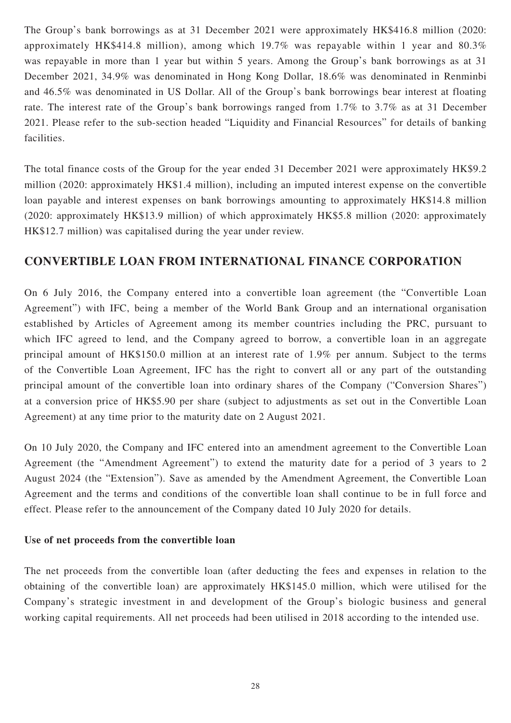The Group's bank borrowings as at 31 December 2021 were approximately HK\$416.8 million (2020: approximately HK\$414.8 million), among which 19.7% was repayable within 1 year and 80.3% was repayable in more than 1 year but within 5 years. Among the Group's bank borrowings as at 31 December 2021, 34.9% was denominated in Hong Kong Dollar, 18.6% was denominated in Renminbi and 46.5% was denominated in US Dollar. All of the Group's bank borrowings bear interest at floating rate. The interest rate of the Group's bank borrowings ranged from 1.7% to 3.7% as at 31 December 2021. Please refer to the sub-section headed "Liquidity and Financial Resources" for details of banking facilities.

The total finance costs of the Group for the year ended 31 December 2021 were approximately HK\$9.2 million (2020: approximately HK\$1.4 million), including an imputed interest expense on the convertible loan payable and interest expenses on bank borrowings amounting to approximately HK\$14.8 million (2020: approximately HK\$13.9 million) of which approximately HK\$5.8 million (2020: approximately HK\$12.7 million) was capitalised during the year under review.

## **CONVERTIBLE LOAN FROM INTERNATIONAL FINANCE CORPORATION**

On 6 July 2016, the Company entered into a convertible loan agreement (the "Convertible Loan Agreement") with IFC, being a member of the World Bank Group and an international organisation established by Articles of Agreement among its member countries including the PRC, pursuant to which IFC agreed to lend, and the Company agreed to borrow, a convertible loan in an aggregate principal amount of HK\$150.0 million at an interest rate of 1.9% per annum. Subject to the terms of the Convertible Loan Agreement, IFC has the right to convert all or any part of the outstanding principal amount of the convertible loan into ordinary shares of the Company ("Conversion Shares") at a conversion price of HK\$5.90 per share (subject to adjustments as set out in the Convertible Loan Agreement) at any time prior to the maturity date on 2 August 2021.

On 10 July 2020, the Company and IFC entered into an amendment agreement to the Convertible Loan Agreement (the "Amendment Agreement") to extend the maturity date for a period of 3 years to 2 August 2024 (the "Extension"). Save as amended by the Amendment Agreement, the Convertible Loan Agreement and the terms and conditions of the convertible loan shall continue to be in full force and effect. Please refer to the announcement of the Company dated 10 July 2020 for details.

### **Use of net proceeds from the convertible loan**

The net proceeds from the convertible loan (after deducting the fees and expenses in relation to the obtaining of the convertible loan) are approximately HK\$145.0 million, which were utilised for the Company's strategic investment in and development of the Group's biologic business and general working capital requirements. All net proceeds had been utilised in 2018 according to the intended use.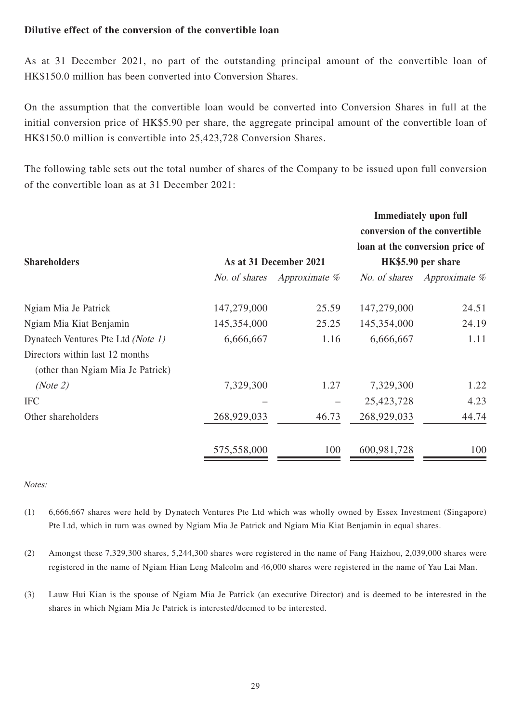### **Dilutive effect of the conversion of the convertible loan**

As at 31 December 2021, no part of the outstanding principal amount of the convertible loan of HK\$150.0 million has been converted into Conversion Shares.

On the assumption that the convertible loan would be converted into Conversion Shares in full at the initial conversion price of HK\$5.90 per share, the aggregate principal amount of the convertible loan of HK\$150.0 million is convertible into 25,423,728 Conversion Shares.

The following table sets out the total number of shares of the Company to be issued upon full conversion of the convertible loan as at 31 December 2021:

| <b>Shareholders</b>                | As at 31 December 2021 |               | <b>Immediately upon full</b><br>conversion of the convertible<br>loan at the conversion price of<br>HK\$5.90 per share |                             |
|------------------------------------|------------------------|---------------|------------------------------------------------------------------------------------------------------------------------|-----------------------------|
|                                    | No. of shares          | Approximate % |                                                                                                                        | No. of shares Approximate % |
| Ngiam Mia Je Patrick               | 147,279,000            | 25.59         | 147,279,000                                                                                                            | 24.51                       |
| Ngiam Mia Kiat Benjamin            | 145,354,000            | 25.25         | 145,354,000                                                                                                            | 24.19                       |
| Dynatech Ventures Pte Ltd (Note 1) | 6,666,667              | 1.16          | 6,666,667                                                                                                              | 1.11                        |
| Directors within last 12 months    |                        |               |                                                                                                                        |                             |
| (other than Ngiam Mia Je Patrick)  |                        |               |                                                                                                                        |                             |
| (Note 2)                           | 7,329,300              | 1.27          | 7,329,300                                                                                                              | 1.22                        |
| <b>IFC</b>                         |                        |               | 25,423,728                                                                                                             | 4.23                        |
| Other shareholders                 | 268,929,033            | 46.73         | 268,929,033                                                                                                            | 44.74                       |
|                                    | 575,558,000            | 100           | 600,981,728                                                                                                            | 100                         |

Notes:

- (1) 6,666,667 shares were held by Dynatech Ventures Pte Ltd which was wholly owned by Essex Investment (Singapore) Pte Ltd, which in turn was owned by Ngiam Mia Je Patrick and Ngiam Mia Kiat Benjamin in equal shares.
- (2) Amongst these 7,329,300 shares, 5,244,300 shares were registered in the name of Fang Haizhou, 2,039,000 shares were registered in the name of Ngiam Hian Leng Malcolm and 46,000 shares were registered in the name of Yau Lai Man.
- (3) Lauw Hui Kian is the spouse of Ngiam Mia Je Patrick (an executive Director) and is deemed to be interested in the shares in which Ngiam Mia Je Patrick is interested/deemed to be interested.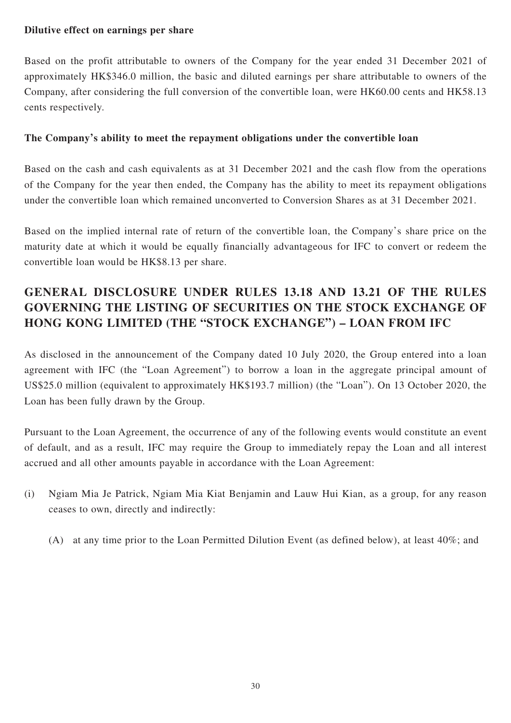### **Dilutive effect on earnings per share**

Based on the profit attributable to owners of the Company for the year ended 31 December 2021 of approximately HK\$346.0 million, the basic and diluted earnings per share attributable to owners of the Company, after considering the full conversion of the convertible loan, were HK60.00 cents and HK58.13 cents respectively.

### **The Company's ability to meet the repayment obligations under the convertible loan**

Based on the cash and cash equivalents as at 31 December 2021 and the cash flow from the operations of the Company for the year then ended, the Company has the ability to meet its repayment obligations under the convertible loan which remained unconverted to Conversion Shares as at 31 December 2021.

Based on the implied internal rate of return of the convertible loan, the Company's share price on the maturity date at which it would be equally financially advantageous for IFC to convert or redeem the convertible loan would be HK\$8.13 per share.

# **GENERAL DISCLOSURE UNDER RULES 13.18 AND 13.21 OF THE RULES GOVERNING THE LISTING OF SECURITIES ON THE STOCK EXCHANGE OF HONG KONG LIMITED (THE "STOCK EXCHANGE") – LOAN FROM IFC**

As disclosed in the announcement of the Company dated 10 July 2020, the Group entered into a loan agreement with IFC (the "Loan Agreement") to borrow a loan in the aggregate principal amount of US\$25.0 million (equivalent to approximately HK\$193.7 million) (the "Loan"). On 13 October 2020, the Loan has been fully drawn by the Group.

Pursuant to the Loan Agreement, the occurrence of any of the following events would constitute an event of default, and as a result, IFC may require the Group to immediately repay the Loan and all interest accrued and all other amounts payable in accordance with the Loan Agreement:

- (i) Ngiam Mia Je Patrick, Ngiam Mia Kiat Benjamin and Lauw Hui Kian, as a group, for any reason ceases to own, directly and indirectly:
	- (A) at any time prior to the Loan Permitted Dilution Event (as defined below), at least 40%; and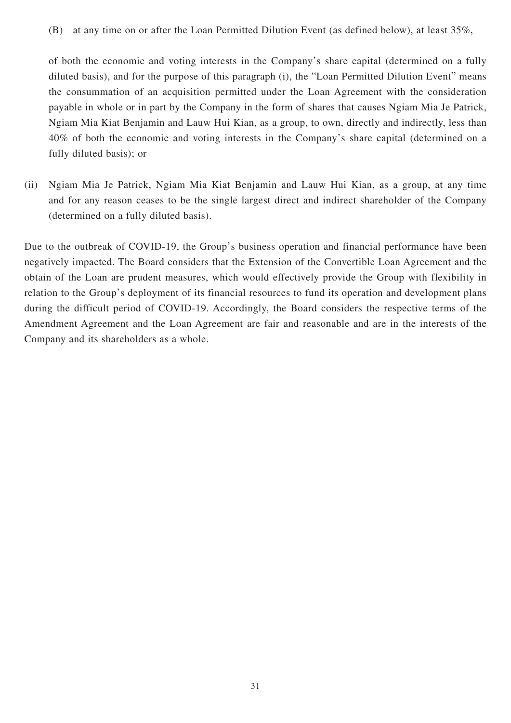(B) at any time on or after the Loan Permitted Dilution Event (as defined below), at least 35%,

of both the economic and voting interests in the Company's share capital (determined on a fully diluted basis), and for the purpose of this paragraph (i), the "Loan Permitted Dilution Event" means the consummation of an acquisition permitted under the Loan Agreement with the consideration payable in whole or in part by the Company in the form of shares that causes Ngiam Mia Je Patrick, Ngiam Mia Kiat Benjamin and Lauw Hui Kian, as a group, to own, directly and indirectly, less than 40% of both the economic and voting interests in the Company's share capital (determined on a fully diluted basis); or

(ii) Ngiam Mia Je Patrick, Ngiam Mia Kiat Benjamin and Lauw Hui Kian, as a group, at any time and for any reason ceases to be the single largest direct and indirect shareholder of the Company (determined on a fully diluted basis).

Due to the outbreak of COVID-19, the Group's business operation and financial performance have been negatively impacted. The Board considers that the Extension of the Convertible Loan Agreement and the obtain of the Loan are prudent measures, which would effectively provide the Group with flexibility in relation to the Group's deployment of its financial resources to fund its operation and development plans during the difficult period of COVID-19. Accordingly, the Board considers the respective terms of the Amendment Agreement and the Loan Agreement are fair and reasonable and are in the interests of the Company and its shareholders as a whole.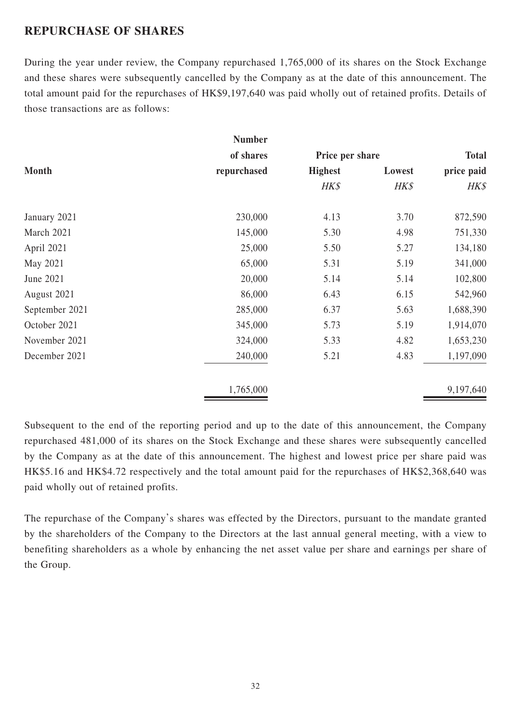## **REPURCHASE OF SHARES**

During the year under review, the Company repurchased 1,765,000 of its shares on the Stock Exchange and these shares were subsequently cancelled by the Company as at the date of this announcement. The total amount paid for the repurchases of HK\$9,197,640 was paid wholly out of retained profits. Details of those transactions are as follows:

|                | <b>Number</b> |                 |        |              |  |
|----------------|---------------|-----------------|--------|--------------|--|
|                | of shares     | Price per share |        | <b>Total</b> |  |
| <b>Month</b>   | repurchased   | <b>Highest</b>  | Lowest | price paid   |  |
|                |               | HK\$            | HK\$   | $H K \$      |  |
| January 2021   | 230,000       | 4.13            | 3.70   | 872,590      |  |
| March 2021     | 145,000       | 5.30            | 4.98   | 751,330      |  |
| April 2021     | 25,000        | 5.50            | 5.27   | 134,180      |  |
| May 2021       | 65,000        | 5.31            | 5.19   | 341,000      |  |
| June 2021      | 20,000        | 5.14            | 5.14   | 102,800      |  |
| August 2021    | 86,000        | 6.43            | 6.15   | 542,960      |  |
| September 2021 | 285,000       | 6.37            | 5.63   | 1,688,390    |  |
| October 2021   | 345,000       | 5.73            | 5.19   | 1,914,070    |  |
| November 2021  | 324,000       | 5.33            | 4.82   | 1,653,230    |  |
| December 2021  | 240,000       | 5.21            | 4.83   | 1,197,090    |  |
|                | 1,765,000     |                 |        | 9,197,640    |  |

Subsequent to the end of the reporting period and up to the date of this announcement, the Company repurchased 481,000 of its shares on the Stock Exchange and these shares were subsequently cancelled by the Company as at the date of this announcement. The highest and lowest price per share paid was HK\$5.16 and HK\$4.72 respectively and the total amount paid for the repurchases of HK\$2,368,640 was paid wholly out of retained profits.

The repurchase of the Company's shares was effected by the Directors, pursuant to the mandate granted by the shareholders of the Company to the Directors at the last annual general meeting, with a view to benefiting shareholders as a whole by enhancing the net asset value per share and earnings per share of the Group.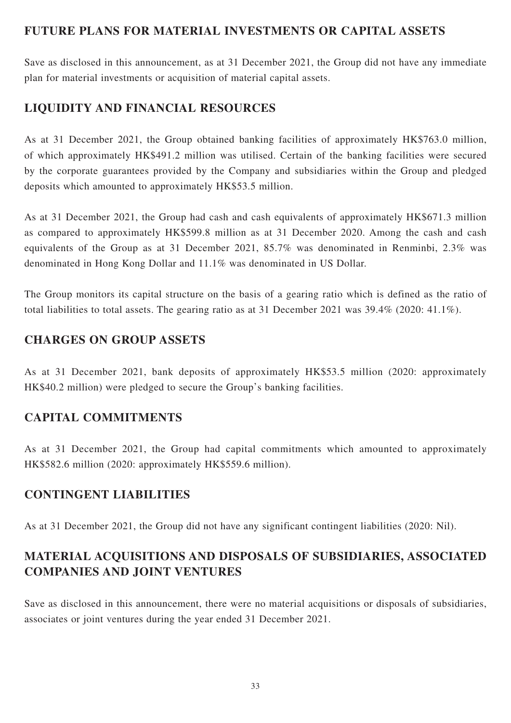## **FUTURE PLANS FOR MATERIAL INVESTMENTS OR CAPITAL ASSETS**

Save as disclosed in this announcement, as at 31 December 2021, the Group did not have any immediate plan for material investments or acquisition of material capital assets.

# **LIQUIDITY AND FINANCIAL RESOURCES**

As at 31 December 2021, the Group obtained banking facilities of approximately HK\$763.0 million, of which approximately HK\$491.2 million was utilised. Certain of the banking facilities were secured by the corporate guarantees provided by the Company and subsidiaries within the Group and pledged deposits which amounted to approximately HK\$53.5 million.

As at 31 December 2021, the Group had cash and cash equivalents of approximately HK\$671.3 million as compared to approximately HK\$599.8 million as at 31 December 2020. Among the cash and cash equivalents of the Group as at 31 December 2021, 85.7% was denominated in Renminbi, 2.3% was denominated in Hong Kong Dollar and 11.1% was denominated in US Dollar.

The Group monitors its capital structure on the basis of a gearing ratio which is defined as the ratio of total liabilities to total assets. The gearing ratio as at 31 December 2021 was 39.4% (2020: 41.1%).

## **CHARGES ON GROUP ASSETS**

As at 31 December 2021, bank deposits of approximately HK\$53.5 million (2020: approximately HK\$40.2 million) were pledged to secure the Group's banking facilities.

# **CAPITAL COMMITMENTS**

As at 31 December 2021, the Group had capital commitments which amounted to approximately HK\$582.6 million (2020: approximately HK\$559.6 million).

# **CONTINGENT LIABILITIES**

As at 31 December 2021, the Group did not have any significant contingent liabilities (2020: Nil).

# **MATERIAL ACQUISITIONS AND DISPOSALS OF SUBSIDIARIES, ASSOCIATED COMPANIES AND JOINT VENTURES**

Save as disclosed in this announcement, there were no material acquisitions or disposals of subsidiaries, associates or joint ventures during the year ended 31 December 2021.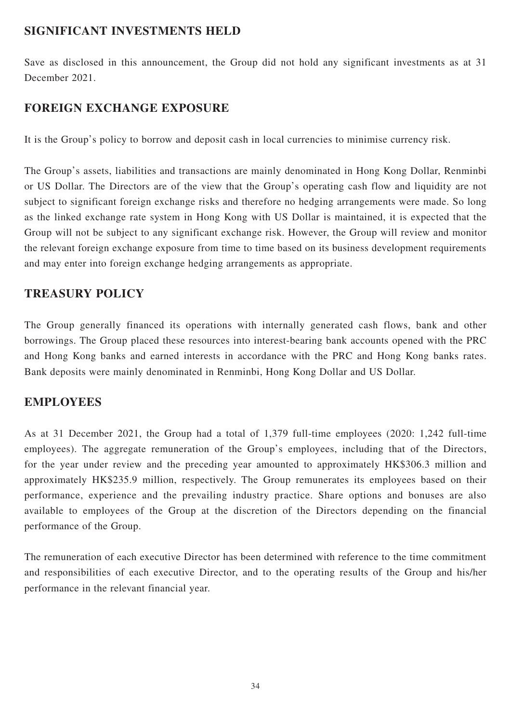## **SIGNIFICANT INVESTMENTS HELD**

Save as disclosed in this announcement, the Group did not hold any significant investments as at 31 December 2021.

# **FOREIGN EXCHANGE EXPOSURE**

It is the Group's policy to borrow and deposit cash in local currencies to minimise currency risk.

The Group's assets, liabilities and transactions are mainly denominated in Hong Kong Dollar, Renminbi or US Dollar. The Directors are of the view that the Group's operating cash flow and liquidity are not subject to significant foreign exchange risks and therefore no hedging arrangements were made. So long as the linked exchange rate system in Hong Kong with US Dollar is maintained, it is expected that the Group will not be subject to any significant exchange risk. However, the Group will review and monitor the relevant foreign exchange exposure from time to time based on its business development requirements and may enter into foreign exchange hedging arrangements as appropriate.

## **TREASURY POLICY**

The Group generally financed its operations with internally generated cash flows, bank and other borrowings. The Group placed these resources into interest-bearing bank accounts opened with the PRC and Hong Kong banks and earned interests in accordance with the PRC and Hong Kong banks rates. Bank deposits were mainly denominated in Renminbi, Hong Kong Dollar and US Dollar.

## **EMPLOYEES**

As at 31 December 2021, the Group had a total of 1,379 full-time employees (2020: 1,242 full-time employees). The aggregate remuneration of the Group's employees, including that of the Directors, for the year under review and the preceding year amounted to approximately HK\$306.3 million and approximately HK\$235.9 million, respectively. The Group remunerates its employees based on their performance, experience and the prevailing industry practice. Share options and bonuses are also available to employees of the Group at the discretion of the Directors depending on the financial performance of the Group.

The remuneration of each executive Director has been determined with reference to the time commitment and responsibilities of each executive Director, and to the operating results of the Group and his/her performance in the relevant financial year.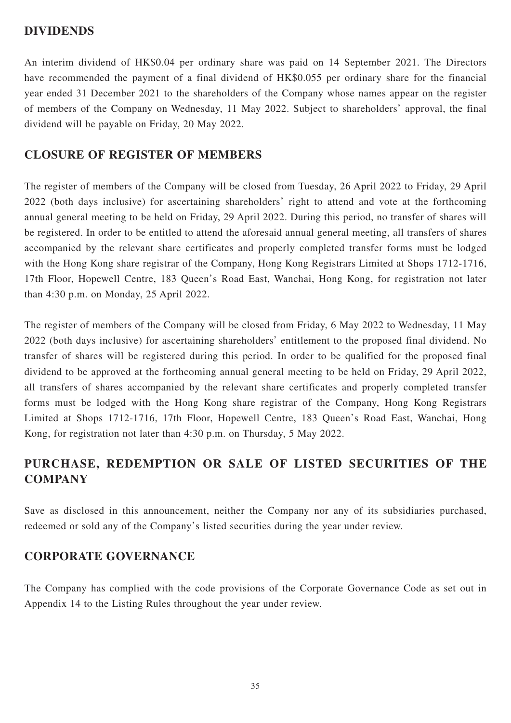### **DIVIDENDS**

An interim dividend of HK\$0.04 per ordinary share was paid on 14 September 2021. The Directors have recommended the payment of a final dividend of HK\$0.055 per ordinary share for the financial year ended 31 December 2021 to the shareholders of the Company whose names appear on the register of members of the Company on Wednesday, 11 May 2022. Subject to shareholders' approval, the final dividend will be payable on Friday, 20 May 2022.

## **CLOSURE OF REGISTER OF MEMBERS**

The register of members of the Company will be closed from Tuesday, 26 April 2022 to Friday, 29 April 2022 (both days inclusive) for ascertaining shareholders' right to attend and vote at the forthcoming annual general meeting to be held on Friday, 29 April 2022. During this period, no transfer of shares will be registered. In order to be entitled to attend the aforesaid annual general meeting, all transfers of shares accompanied by the relevant share certificates and properly completed transfer forms must be lodged with the Hong Kong share registrar of the Company, Hong Kong Registrars Limited at Shops 1712-1716, 17th Floor, Hopewell Centre, 183 Queen's Road East, Wanchai, Hong Kong, for registration not later than 4:30 p.m. on Monday, 25 April 2022.

The register of members of the Company will be closed from Friday, 6 May 2022 to Wednesday, 11 May 2022 (both days inclusive) for ascertaining shareholders' entitlement to the proposed final dividend. No transfer of shares will be registered during this period. In order to be qualified for the proposed final dividend to be approved at the forthcoming annual general meeting to be held on Friday, 29 April 2022, all transfers of shares accompanied by the relevant share certificates and properly completed transfer forms must be lodged with the Hong Kong share registrar of the Company, Hong Kong Registrars Limited at Shops 1712-1716, 17th Floor, Hopewell Centre, 183 Queen's Road East, Wanchai, Hong Kong, for registration not later than 4:30 p.m. on Thursday, 5 May 2022.

# **PURCHASE, REDEMPTION OR SALE OF LISTED SECURITIES OF THE COMPANY**

Save as disclosed in this announcement, neither the Company nor any of its subsidiaries purchased, redeemed or sold any of the Company's listed securities during the year under review.

## **CORPORATE GOVERNANCE**

The Company has complied with the code provisions of the Corporate Governance Code as set out in Appendix 14 to the Listing Rules throughout the year under review.